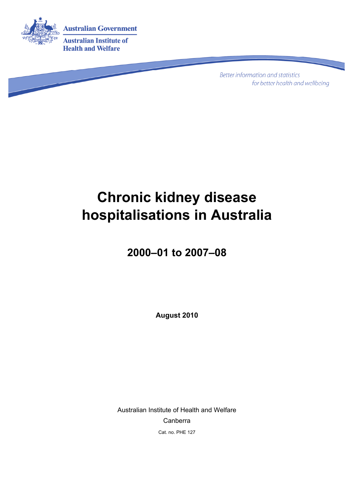

**Better information and statistics** for better health and wellbeing

# **Chronic kidney disease hospitalisations in Australia**

## **2000–01 to 2007–08**

**August 2010** 

Australian Institute of Health and Welfare Canberra Cat. no. PHE 127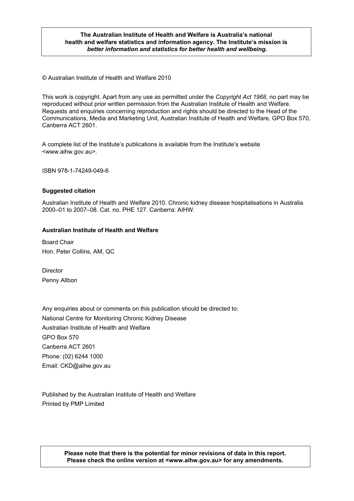#### **The Australian Institute of Health and Welfare is Australia's national health and welfare statistics and information agency. The Institute's mission is**  *better information and statistics for better health and wellbeing***.**

© Australian Institute of Health and Welfare 2010

This work is copyright. Apart from any use as permitted under the *Copyright Act 1968*, no part may be reproduced without prior written permission from the Australian Institute of Health and Welfare. Requests and enquiries concerning reproduction and rights should be directed to the Head of the Communications, Media and Marketing Unit, Australian Institute of Health and Welfare, GPO Box 570, Canberra ACT 2601.

A complete list of the Institute's publications is available from the Institute's website <www.aihw.gov.au>.

ISBN 978-1-74249-049-6

#### **Suggested citation**

Australian Institute of Health and Welfare 2010. Chronic kidney disease hospitalisations in Australia 2000–01 to 2007–08. Cat. no. PHE 127. Canberra: AIHW.

#### **Australian Institute of Health and Welfare**

Board Chair Hon. Peter Collins, AM, QC

**Director** Penny Allbon

Any enquiries about or comments on this publication should be directed to: National Centre for Monitoring Chronic Kidney Disease Australian Institute of Health and Welfare GPO Box 570 Canberra ACT 2601 Phone: (02) 6244 1000 Email: CKD@aihw.gov.au

Published by the Australian Institute of Health and Welfare Printed by PMP Limited

> **Please note that there is the potential for minor revisions of data in this report. Please check the online version at <www.aihw.gov.au> for any amendments.**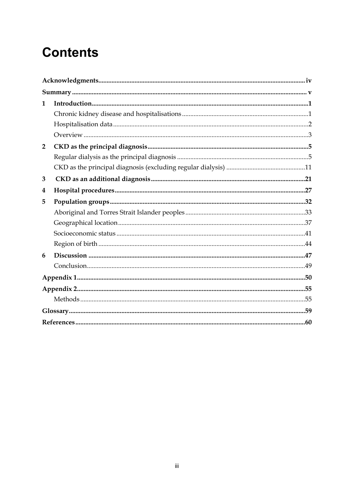# **Contents**

| 1              |  |
|----------------|--|
|                |  |
|                |  |
|                |  |
| $\overline{2}$ |  |
|                |  |
|                |  |
| 3              |  |
| 4              |  |
| 5              |  |
|                |  |
|                |  |
|                |  |
|                |  |
| 6              |  |
|                |  |
|                |  |
|                |  |
|                |  |
|                |  |
|                |  |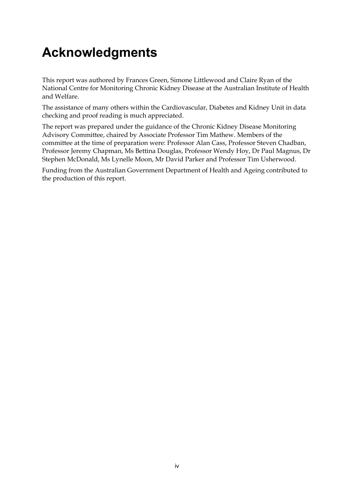# <span id="page-3-0"></span>**Acknowledgments**

This report was authored by Frances Green, Simone Littlewood and Claire Ryan of the National Centre for Monitoring Chronic Kidney Disease at the Australian Institute of Health and Welfare.

The assistance of many others within the Cardiovascular, Diabetes and Kidney Unit in data checking and proof reading is much appreciated.

The report was prepared under the guidance of the Chronic Kidney Disease Monitoring Advisory Committee, chaired by Associate Professor Tim Mathew. Members of the committee at the time of preparation were: Professor Alan Cass, Professor Steven Chadban, Professor Jeremy Chapman, Ms Bettina Douglas, Professor Wendy Hoy, Dr Paul Magnus, Dr Stephen McDonald, Ms Lynelle Moon, Mr David Parker and Professor Tim Usherwood.

Funding from the Australian Government Department of Health and Ageing contributed to the production of this report.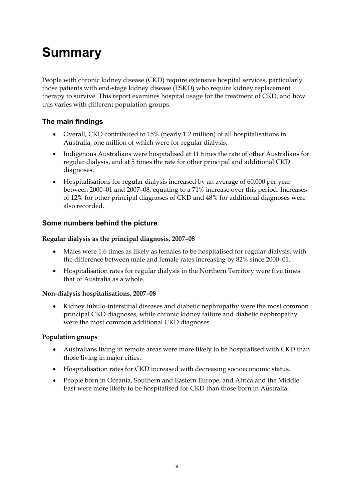# <span id="page-4-0"></span>**Summary**

People with chronic kidney disease (CKD) require extensive hospital services, particularly those patients with end-stage kidney disease (ESKD) who require kidney replacement therapy to survive. This report examines hospital usage for the treatment of CKD, and how this varies with different population groups.

### **The main findings**

- Overall, CKD contributed to 15% (nearly 1.2 million) of all hospitalisations in Australia, one million of which were for regular dialysis.
- Indigenous Australians were hospitalised at 11 times the rate of other Australians for regular dialysis, and at 5 times the rate for other principal and additional CKD diagnoses.
- Hospitalisations for regular dialysis increased by an average of 60,000 per year between 2000–01 and 2007–08, equating to a 71% increase over this period. Increases of 12% for other principal diagnoses of CKD and 48% for additional diagnoses were also recorded.

### **Some numbers behind the picture**

### **Regular dialysis as the principal diagnosis, 2007–08**

- Males were 1.6 times as likely as females to be hospitalised for regular dialysis, with the difference between male and female rates increasing by 82% since 2000–01.
- Hospitalisation rates for regular dialysis in the Northern Territory were five times that of Australia as a whole.

### **Non-dialysis hospitalisations, 2007–08**

• Kidney tubulo-interstitial diseases and diabetic nephropathy were the most common principal CKD diagnoses, while chronic kidney failure and diabetic nephropathy were the most common additional CKD diagnoses.

### **Population groups**

- Australians living in remote areas were more likely to be hospitalised with CKD than those living in major cities.
- Hospitalisation rates for CKD increased with decreasing socioeconomic status.
- People born in Oceania, Southern and Eastern Europe, and Africa and the Middle East were more likely to be hospitalised for CKD than those born in Australia.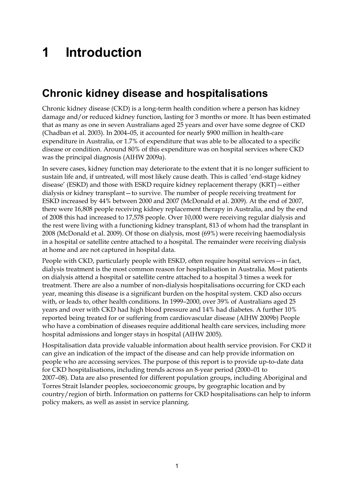# <span id="page-6-0"></span>**1 Introduction**

## <span id="page-6-1"></span>**Chronic kidney disease and hospitalisations**

Chronic kidney disease (CKD) is a long-term health condition where a person has kidney damage and/or reduced kidney function, lasting for 3 months or more. It has been estimated that as many as one in seven Australians aged 25 years and over have some degree of CKD (Chadban et al. 2003). In 2004–05, it accounted for nearly \$900 million in health-care expenditure in Australia, or 1.7% of expenditure that was able to be allocated to a specific disease or condition. Around 80% of this expenditure was on hospital services where CKD was the principal diagnosis (AIHW 2009a).

In severe cases, kidney function may deteriorate to the extent that it is no longer sufficient to sustain life and, if untreated, will most likely cause death. This is called 'end-stage kidney disease' (ESKD) and those with ESKD require kidney replacement therapy (KRT)—either dialysis or kidney transplant—to survive. The number of people receiving treatment for ESKD increased by 44% between 2000 and 2007 (McDonald et al. 2009). At the end of 2007, there were 16,808 people receiving kidney replacement therapy in Australia, and by the end of 2008 this had increased to 17,578 people. Over 10,000 were receiving regular dialysis and the rest were living with a functioning kidney transplant, 813 of whom had the transplant in 2008 (McDonald et al. 2009). Of those on dialysis, most (69%) were receiving haemodialysis in a hospital or satellite centre attached to a hospital. The remainder were receiving dialysis at home and are not captured in hospital data.

People with CKD, particularly people with ESKD, often require hospital services—in fact, dialysis treatment is the most common reason for hospitalisation in Australia. Most patients on dialysis attend a hospital or satellite centre attached to a hospital 3 times a week for treatment. There are also a number of non-dialysis hospitalisations occurring for CKD each year, meaning this disease is a significant burden on the hospital system. CKD also occurs with, or leads to, other health conditions. In 1999–2000, over 39% of Australians aged 25 years and over with CKD had high blood pressure and 14% had diabetes. A further 10% reported being treated for or suffering from cardiovascular disease (AIHW 2009b) People who have a combination of diseases require additional health care services, including more hospital admissions and longer stays in hospital (AIHW 2005).

Hospitalisation data provide valuable information about health service provision. For CKD it can give an indication of the impact of the disease and can help provide information on people who are accessing services. The purpose of this report is to provide up-to-date data for CKD hospitalisations, including trends across an 8-year period (2000–01 to 2007–08). Data are also presented for different population groups, including Aboriginal and Torres Strait Islander peoples, socioeconomic groups, by geographic location and by country/region of birth. Information on patterns for CKD hospitalisations can help to inform policy makers, as well as assist in service planning.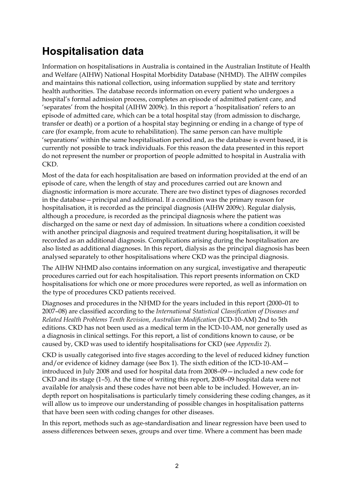## <span id="page-7-0"></span>**Hospitalisation data**

Information on hospitalisations in Australia is contained in the Australian Institute of Health and Welfare (AIHW) National Hospital Morbidity Database (NHMD). The AIHW compiles and maintains this national collection, using information supplied by state and territory health authorities. The database records information on every patient who undergoes a hospital's formal admission process, completes an episode of admitted patient care, and 'separates' from the hospital (AIHW 2009c). In this report a 'hospitalisation' refers to an episode of admitted care, which can be a total hospital stay (from admission to discharge, transfer or death) or a portion of a hospital stay beginning or ending in a change of type of care (for example, from acute to rehabilitation). The same person can have multiple 'separations' within the same hospitalisation period and, as the database is event based, it is currently not possible to track individuals. For this reason the data presented in this report do not represent the number or proportion of people admitted to hospital in Australia with CKD.

Most of the data for each hospitalisation are based on information provided at the end of an episode of care, when the length of stay and procedures carried out are known and diagnostic information is more accurate. There are two distinct types of diagnoses recorded in the database—principal and additional. If a condition was the primary reason for hospitalisation, it is recorded as the principal diagnosis (AIHW 2009c). Regular dialysis, although a procedure, is recorded as the principal diagnosis where the patient was discharged on the same or next day of admission. In situations where a condition coexisted with another principal diagnosis and required treatment during hospitalisation, it will be recorded as an additional diagnosis. Complications arising during the hospitalisation are also listed as additional diagnoses. In this report, dialysis as the principal diagnosis has been analysed separately to other hospitalisations where CKD was the principal diagnosis.

The AIHW NHMD also contains information on any surgical, investigative and therapeutic procedures carried out for each hospitalisation. This report presents information on CKD hospitalisations for which one or more procedures were reported, as well as information on the type of procedures CKD patients received.

Diagnoses and procedures in the NHMD for the years included in this report (2000–01 to 2007–08) are classified according to the *International Statistical Classification of Diseases and Related Health Problems Tenth Revision, Australian Modification* (ICD-10-AM) 2nd to 5th editions. CKD has not been used as a medical term in the ICD-10-AM, nor generally used as a diagnosis in clinical settings. For this report, a list of conditions known to cause, or be caused by, CKD was used to identify hospitalisations for CKD (see *Appendix 2*).

CKD is usually categorised into five stages according to the level of reduced kidney function and/or evidence of kidney damage (see Box 1). The sixth edition of the ICD-10-AM introduced in July 2008 and used for hospital data from 2008–09—included a new code for CKD and its stage (1–5). At the time of writing this report, 2008–09 hospital data were not available for analysis and these codes have not been able to be included. However, an indepth report on hospitalisations is particularly timely considering these coding changes, as it will allow us to improve our understanding of possible changes in hospitalisation patterns that have been seen with coding changes for other diseases.

In this report, methods such as age-standardisation and linear regression have been used to assess differences between sexes, groups and over time. Where a comment has been made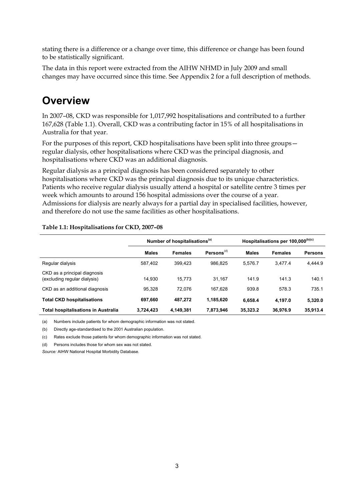stating there is a difference or a change over time, this difference or change has been found to be statistically significant.

The data in this report were extracted from the AIHW NHMD in July 2009 and small changes may have occurred since this time. See Appendix 2 for a full description of methods.

## <span id="page-8-0"></span>**Overview**

In 2007–08, CKD was responsible for 1,017,992 hospitalisations and contributed to a further 167,628 (Table 1.1). Overall, CKD was a contributing factor in 15% of all hospitalisations in Australia for that year.

For the purposes of this report, CKD hospitalisations have been split into three groups regular dialysis, other hospitalisations where CKD was the principal diagnosis, and hospitalisations where CKD was an additional diagnosis.

Regular dialysis as a principal diagnosis has been considered separately to other hospitalisations where CKD was the principal diagnosis due to its unique characteristics. Patients who receive regular dialysis usually attend a hospital or satellite centre 3 times per week which amounts to around 156 hospital admissions over the course of a year. Admissions for dialysis are nearly always for a partial day in specialised facilities, however, and therefore do not use the same facilities as other hospitalisations.

#### **Table 1.1: Hospitalisations for CKD, 2007–08**

|                                                              | Number of hospitalisations <sup>(a)</sup> |                |                        | Hospitalisations per 100,000 <sup>(b)(c)</sup> |                |                |
|--------------------------------------------------------------|-------------------------------------------|----------------|------------------------|------------------------------------------------|----------------|----------------|
|                                                              | <b>Males</b>                              | <b>Females</b> | Persons <sup>(d)</sup> | <b>Males</b>                                   | <b>Females</b> | <b>Persons</b> |
| Regular dialysis                                             | 587,402                                   | 399.423        | 986.825                | 5.576.7                                        | 3.477.4        | 4.444.9        |
| CKD as a principal diagnosis<br>(excluding regular dialysis) | 14.930                                    | 15.773         | 31.167                 | 141.9                                          | 141.3          | 140.1          |
| CKD as an additional diagnosis                               | 95.328                                    | 72.076         | 167.628                | 939.8                                          | 578.3          | 735.1          |
| <b>Total CKD hospitalisations</b>                            | 697,660                                   | 487,272        | 1,185,620              | 6,658.4                                        | 4.197.0        | 5,320.0        |
| <b>Total hospitalisations in Australia</b>                   | 3,724,423                                 | 4,149,381      | 7,873,946              | 35,323.2                                       | 36,976.9       | 35,913.4       |

(a) Numbers include patients for whom demographic information was not stated.

(b) Directly age-standardised to the 2001 Australian population.

(c) Rates exclude those patients for whom demographic information was not stated.

(d) Persons includes those for whom sex was not stated.

*Source:* AIHW National Hospital Morbidity Database*.*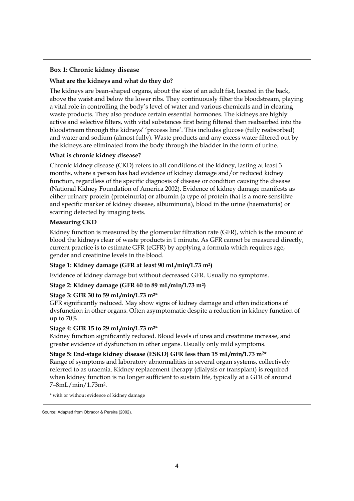### **Box 1: Chronic kidney disease**

#### **What are the kidneys and what do they do?**

The kidneys are bean-shaped organs, about the size of an adult fist, located in the back, above the waist and below the lower ribs. They continuously filter the bloodstream, playing a vital role in controlling the body's level of water and various chemicals and in clearing waste products. They also produce certain essential hormones. The kidneys are highly active and selective filters, with vital substances first being filtered then reabsorbed into the bloodstream through the kidneys' 'process line'. This includes glucose (fully reabsorbed) and water and sodium (almost fully). Waste products and any excess water filtered out by the kidneys are eliminated from the body through the bladder in the form of urine.

#### **What is chronic kidney disease?**

Chronic kidney disease (CKD) refers to all conditions of the kidney, lasting at least 3 months, where a person has had evidence of kidney damage and/or reduced kidney function, regardless of the specific diagnosis of disease or condition causing the disease (National Kidney Foundation of America 2002). Evidence of kidney damage manifests as either urinary protein (proteinuria) or albumin (a type of protein that is a more sensitive and specific marker of kidney disease, albuminuria), blood in the urine (haematuria) or scarring detected by imaging tests.

#### **Measuring CKD**

Kidney function is measured by the glomerular filtration rate (GFR), which is the amount of blood the kidneys clear of waste products in 1 minute. As GFR cannot be measured directly, current practice is to estimate GFR (eGFR) by applying a formula which requires age, gender and creatinine levels in the blood.

### **Stage 1: Kidney damage (GFR at least 90 mL/min/1.73 m2)**

Evidence of kidney damage but without decreased GFR. Usually no symptoms.

### **Stage 2: Kidney damage (GFR 60 to 89 mL/min/1.73 m2)**

### **Stage 3: GFR 30 to 59 mL/min/1.73 m2\***

GFR significantly reduced. May show signs of kidney damage and often indications of dysfunction in other organs. Often asymptomatic despite a reduction in kidney function of up to 70%.

### **Stage 4: GFR 15 to 29 mL/min/1.73 m2\***

Kidney function significantly reduced. Blood levels of urea and creatinine increase, and greater evidence of dysfunction in other organs. Usually only mild symptoms.

**Stage 5: End-stage kidney disease (ESKD) GFR less than 15 mL/min/1.73 m2\*** 

Range of symptoms and laboratory abnormalities in several organ systems, collectively referred to as uraemia. Kidney replacement therapy (dialysis or transplant) is required when kidney function is no longer sufficient to sustain life, typically at a GFR of around 7–8mL/min/1.73m2.

\* with or without evidence of kidney damage

Source: Adapted from Obrador & Pereira (2002).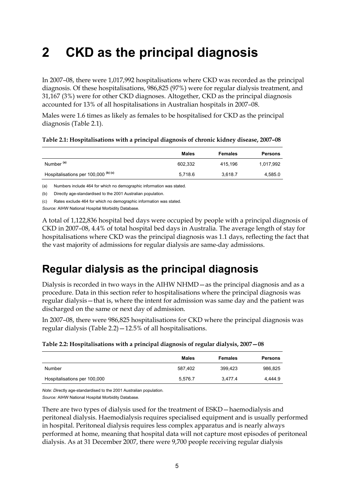# <span id="page-10-0"></span>**2 CKD as the principal diagnosis**

In 2007–08, there were 1,017,992 hospitalisations where CKD was recorded as the principal diagnosis. Of these hospitalisations, 986,825 (97%) were for regular dialysis treatment, and 31,167 (3%) were for other CKD diagnoses. Altogether, CKD as the principal diagnosis accounted for 13% of all hospitalisations in Australian hospitals in 2007–08.

Males were 1.6 times as likely as females to be hospitalised for CKD as the principal diagnosis (Table 2.1).

|                                                | Males   | <b>Females</b> | <b>Persons</b> |
|------------------------------------------------|---------|----------------|----------------|
| Number <sup>(a)</sup>                          | 602.332 | 415.196        | 1,017,992      |
| Hospitalisations per 100,000 <sup>(b)(c)</sup> | 5.718.6 | 3.618.7        | 4,585.0        |

| Table 2.1: Hospitalisations with a principal diagnosis of chronic kidney disease, 2007-08 |  |  |  |
|-------------------------------------------------------------------------------------------|--|--|--|
|-------------------------------------------------------------------------------------------|--|--|--|

(a) Numbers include 464 for which no demographic information was stated.

(b) Directly age-standardised to the 2001 Australian population.

(c) Rates exclude 464 for which no demographic information was stated.

*Source:* AIHW National Hospital Morbidity Database*.*

A total of 1,122,836 hospital bed days were occupied by people with a principal diagnosis of CKD in 2007–08, 4.4% of total hospital bed days in Australia. The average length of stay for hospitalisations where CKD was the principal diagnosis was 1.1 days, reflecting the fact that the vast majority of admissions for regular dialysis are same-day admissions.

## <span id="page-10-1"></span>**Regular dialysis as the principal diagnosis**

Dialysis is recorded in two ways in the AIHW NHMD—as the principal diagnosis and as a procedure. Data in this section refer to hospitalisations where the principal diagnosis was regular dialysis—that is, where the intent for admission was same day and the patient was discharged on the same or next day of admission.

In 2007–08, there were 986,825 hospitalisations for CKD where the principal diagnosis was regular dialysis (Table 2.2)—12.5% of all hospitalisations.

|  |  |  | Table 2.2: Hospitalisations with a principal diagnosis of regular dialysis, 2007–08 |
|--|--|--|-------------------------------------------------------------------------------------|
|  |  |  |                                                                                     |

|                              | Males   | <b>Females</b> | <b>Persons</b> |
|------------------------------|---------|----------------|----------------|
| Number                       | 587.402 | 399.423        | 986,825        |
| Hospitalisations per 100,000 | 5,576.7 | 3.477.4        | 4.444.9        |

*Note: D*irectly age-standardised to the 2001 Australian population.

*Source:* AIHW National Hospital Morbidity Database*.*

There are two types of dialysis used for the treatment of ESKD—haemodialysis and peritoneal dialysis. Haemodialysis requires specialised equipment and is usually performed in hospital. Peritoneal dialysis requires less complex apparatus and is nearly always performed at home, meaning that hospital data will not capture most episodes of peritoneal dialysis. As at 31 December 2007, there were 9,700 people receiving regular dialysis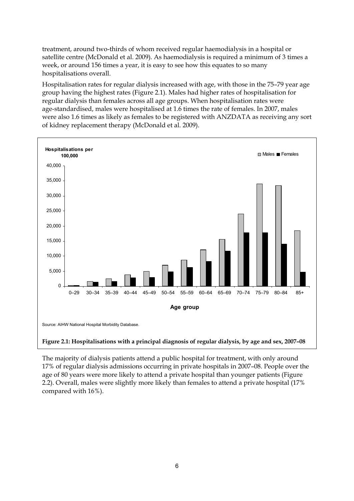treatment, around two-thirds of whom received regular haemodialysis in a hospital or satellite centre (McDonald et al. 2009). As haemodialysis is required a minimum of 3 times a week, or around 156 times a year, it is easy to see how this equates to so many hospitalisations overall.

Hospitalisation rates for regular dialysis increased with age, with those in the 75–79 year age group having the highest rates (Figure 2.1). Males had higher rates of hospitalisation for regular dialysis than females across all age groups. When hospitalisation rates were age-standardised, males were hospitalised at 1.6 times the rate of females. In 2007, males were also 1.6 times as likely as females to be registered with ANZDATA as receiving any sort of kidney replacement therapy (McDonald et al. 2009).



The majority of dialysis patients attend a public hospital for treatment, with only around 17% of regular dialysis admissions occurring in private hospitals in 2007–08. People over the age of 80 years were more likely to attend a private hospital than younger patients (Figure 2.2). Overall, males were slightly more likely than females to attend a private hospital (17% compared with 16%).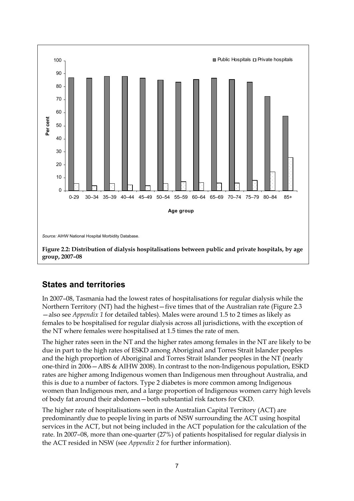

### **States and territories**

In 2007–08, Tasmania had the lowest rates of hospitalisations for regular dialysis while the Northern Territory (NT) had the highest—five times that of the Australian rate (Figure 2.3 —also see *Appendix 1* for detailed tables). Males were around 1.5 to 2 times as likely as females to be hospitalised for regular dialysis across all jurisdictions, with the exception of the NT where females were hospitalised at 1.5 times the rate of men.

The higher rates seen in the NT and the higher rates among females in the NT are likely to be due in part to the high rates of ESKD among Aboriginal and Torres Strait Islander peoples and the high proportion of Aboriginal and Torres Strait Islander peoples in the NT (nearly one-third in 2006—ABS & AIHW 2008). In contrast to the non-Indigenous population, ESKD rates are higher among Indigenous women than Indigenous men throughout Australia, and this is due to a number of factors. Type 2 diabetes is more common among Indigenous women than Indigenous men, and a large proportion of Indigenous women carry high levels of body fat around their abdomen—both substantial risk factors for CKD.

The higher rate of hospitalisations seen in the Australian Capital Territory (ACT) are predominantly due to people living in parts of NSW surrounding the ACT using hospital services in the ACT, but not being included in the ACT population for the calculation of the rate. In 2007–08, more than one-quarter (27%) of patients hospitalised for regular dialysis in the ACT resided in NSW (see *Appendix 2* for further information).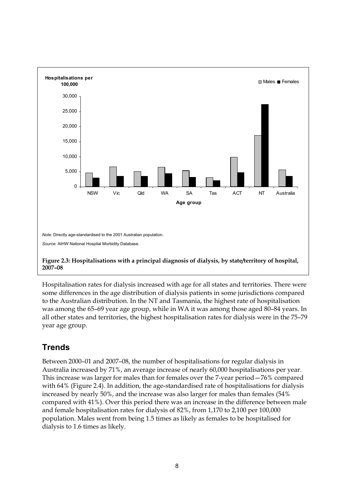

Hospitalisation rates for dialysis increased with age for all states and territories. There were some differences in the age distribution of dialysis patients in some jurisdictions compared to the Australian distribution. In the NT and Tasmania, the highest rate of hospitalisation was among the 65–69 year age group, while in WA it was among those aged 80–84 years. In all other states and territories, the highest hospitalisation rates for dialysis were in the 75–79 year age group.

## **Trends**

Between 2000–01 and 2007–08, the number of hospitalisations for regular dialysis in Australia increased by 71%, an average increase of nearly 60,000 hospitalisations per year. This increase was larger for males than for females over the 7-year period—76% compared with 64% (Figure 2.4). In addition, the age-standardised rate of hospitalisations for dialysis increased by nearly 50%, and the increase was also larger for males than females (54% compared with 41%). Over this period there was an increase in the difference between male and female hospitalisation rates for dialysis of 82%, from 1,170 to 2,100 per 100,000 population. Males went from being 1.5 times as likely as females to be hospitalised for dialysis to 1.6 times as likely.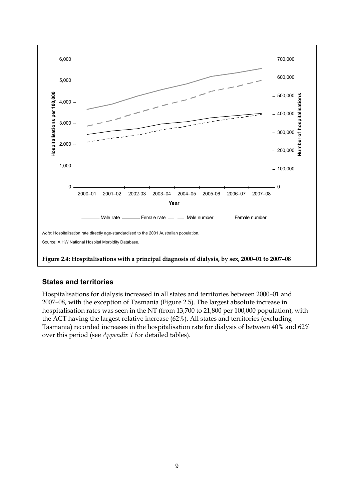

### **States and territories**

Hospitalisations for dialysis increased in all states and territories between 2000–01 and 2007–08, with the exception of Tasmania (Figure 2.5). The largest absolute increase in hospitalisation rates was seen in the NT (from 13,700 to 21,800 per 100,000 population), with the ACT having the largest relative increase (62%). All states and territories (excluding Tasmania) recorded increases in the hospitalisation rate for dialysis of between 40% and 62% over this period (see *Appendix 1* for detailed tables).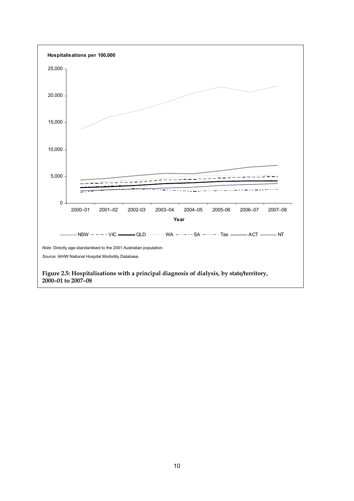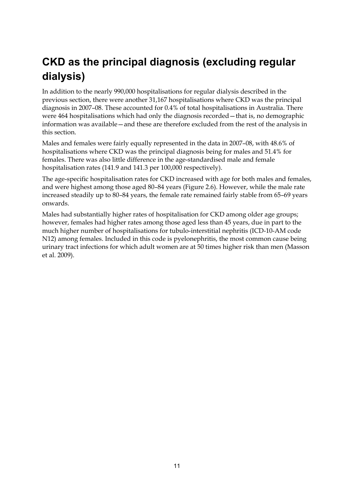## <span id="page-16-0"></span>**CKD as the principal diagnosis (excluding regular dialysis)**

In addition to the nearly 990,000 hospitalisations for regular dialysis described in the previous section, there were another 31,167 hospitalisations where CKD was the principal diagnosis in 2007–08. These accounted for 0.4% of total hospitalisations in Australia. There were 464 hospitalisations which had only the diagnosis recorded—that is, no demographic information was available—and these are therefore excluded from the rest of the analysis in this section.

Males and females were fairly equally represented in the data in 2007–08, with 48.6% of hospitalisations where CKD was the principal diagnosis being for males and 51.4% for females. There was also little difference in the age-standardised male and female hospitalisation rates (141.9 and 141.3 per 100,000 respectively).

The age-specific hospitalisation rates for CKD increased with age for both males and females, and were highest among those aged 80–84 years (Figure 2.6). However, while the male rate increased steadily up to 80–84 years, the female rate remained fairly stable from 65–69 years onwards.

Males had substantially higher rates of hospitalisation for CKD among older age groups; however, females had higher rates among those aged less than 45 years, due in part to the much higher number of hospitalisations for tubulo-interstitial nephritis (ICD-10-AM code N12) among females. Included in this code is pyelonephritis, the most common cause being urinary tract infections for which adult women are at 50 times higher risk than men (Masson et al. 2009).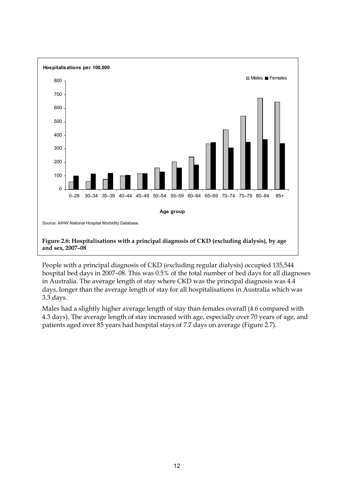

People with a principal diagnosis of CKD (excluding regular dialysis) occupied 135,544 hospital bed days in 2007–08. This was 0.5% of the total number of bed days for all diagnoses in Australia. The average length of stay where CKD was the principal diagnosis was 4.4 days, longer than the average length of stay for all hospitalisations in Australia which was 3.3 days.

Males had a slightly higher average length of stay than females overall (4.6 compared with 4.3 days). The average length of stay increased with age, especially over 70 years of age, and patients aged over 85 years had hospital stays of 7.7 days on average (Figure 2.7).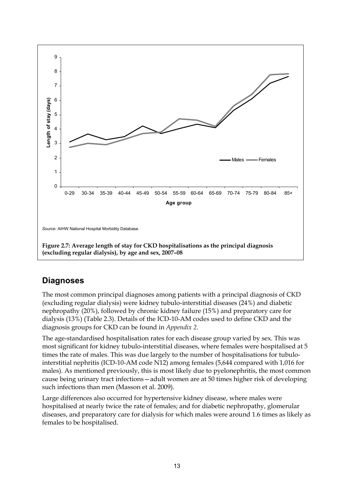

### **Diagnoses**

The most common principal diagnoses among patients with a principal diagnosis of CKD (excluding regular dialysis) were kidney tubulo-interstitial diseases (24%) and diabetic nephropathy (20%), followed by chronic kidney failure (15%) and preparatory care for dialysis (13%) (Table 2.3). Details of the ICD-10-AM codes used to define CKD and the diagnosis groups for CKD can be found in *Appendix 2*.

The age-standardised hospitalisation rates for each disease group varied by sex. This was most significant for kidney tubulo-interstitial diseases, where females were hospitalised at 5 times the rate of males. This was due largely to the number of hospitalisations for tubulointerstitial nephritis (ICD-10-AM code N12) among females (5,644 compared with 1,016 for males). As mentioned previously, this is most likely due to pyelonephritis, the most common cause being urinary tract infections—adult women are at 50 times higher risk of developing such infections than men (Masson et al. 2009).

Large differences also occurred for hypertensive kidney disease, where males were hospitalised at nearly twice the rate of females; and for diabetic nephropathy, glomerular diseases, and preparatory care for dialysis for which males were around 1.6 times as likely as females to be hospitalised.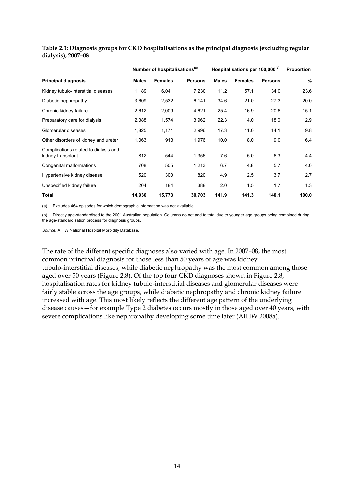|                                                            | Number of hospitalisations <sup>(a)</sup> |                |                | Hospitalisations per 100,000 <sup>(b)</sup> |                |                | <b>Proportion</b> |
|------------------------------------------------------------|-------------------------------------------|----------------|----------------|---------------------------------------------|----------------|----------------|-------------------|
| <b>Principal diagnosis</b>                                 | <b>Males</b>                              | <b>Females</b> | <b>Persons</b> | <b>Males</b>                                | <b>Females</b> | <b>Persons</b> | %                 |
| Kidney tubulo-interstitial diseases                        | 1,189                                     | 6,041          | 7,230          | 11.2                                        | 57.1           | 34.0           | 23.6              |
| Diabetic nephropathy                                       | 3,609                                     | 2,532          | 6,141          | 34.6                                        | 21.0           | 27.3           | 20.0              |
| Chronic kidney failure                                     | 2,612                                     | 2,009          | 4,621          | 25.4                                        | 16.9           | 20.6           | 15.1              |
| Preparatory care for dialysis                              | 2,388                                     | 1,574          | 3,962          | 22.3                                        | 14.0           | 18.0           | 12.9              |
| Glomerular diseases                                        | 1,825                                     | 1,171          | 2,996          | 17.3                                        | 11.0           | 14.1           | 9.8               |
| Other disorders of kidney and ureter                       | 1,063                                     | 913            | 1,976          | 10.0                                        | 8.0            | 9.0            | 6.4               |
| Complications related to dialysis and<br>kidney transplant | 812                                       | 544            | 1.356          | 7.6                                         | 5.0            | 6.3            | 4.4               |
| Congenital malformations                                   | 708                                       | 505            | 1,213          | 6.7                                         | 4.8            | 5.7            | 4.0               |
| Hypertensive kidney disease                                | 520                                       | 300            | 820            | 4.9                                         | 2.5            | 3.7            | 2.7               |
| Unspecified kidney failure                                 | 204                                       | 184            | 388            | 2.0                                         | 1.5            | 1.7            | 1.3               |
| Total                                                      | 14,930                                    | 15,773         | 30,703         | 141.9                                       | 141.3          | 140.1          | 100.0             |

**Table 2.3: Diagnosis groups for CKD hospitalisations as the principal diagnosis (excluding regular dialysis), 2007–08** 

(a) Excludes 464 episodes for which demographic information was not available.

(b) Directly age-standardised to the 2001 Australian population. Columns do not add to total due to younger age groups being combined during the age-standardisation process for diagnosis groups.

*Source:* AIHW National Hospital Morbidity Database.

The rate of the different specific diagnoses also varied with age. In 2007–08, the most common principal diagnosis for those less than 50 years of age was kidney tubulo-interstitial diseases, while diabetic nephropathy was the most common among those aged over 50 years (Figure 2.8). Of the top four CKD diagnoses shown in Figure 2.8, hospitalisation rates for kidney tubulo-interstitial diseases and glomerular diseases were fairly stable across the age groups, while diabetic nephropathy and chronic kidney failure increased with age. This most likely reflects the different age pattern of the underlying disease causes—for example Type 2 diabetes occurs mostly in those aged over 40 years, with severe complications like nephropathy developing some time later (AIHW 2008a).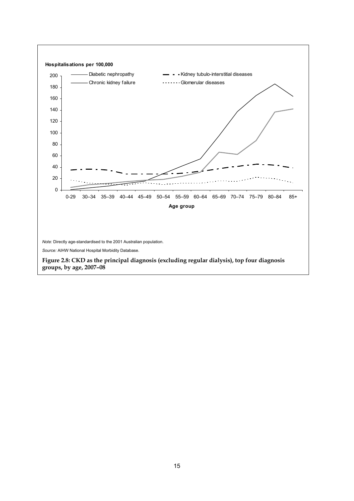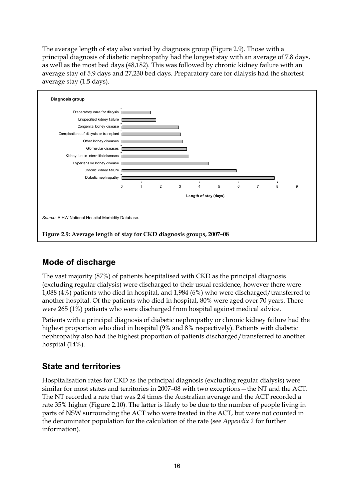The average length of stay also varied by diagnosis group (Figure 2.9). Those with a principal diagnosis of diabetic nephropathy had the longest stay with an average of 7.8 days, as well as the most bed days (48,182). This was followed by chronic kidney failure with an average stay of 5.9 days and 27,230 bed days. Preparatory care for dialysis had the shortest average stay (1.5 days).



## **Mode of discharge**

The vast majority (87%) of patients hospitalised with CKD as the principal diagnosis (excluding regular dialysis) were discharged to their usual residence, however there were 1,088 (4%) patients who died in hospital, and 1,984 (6%) who were discharged/transferred to another hospital. Of the patients who died in hospital, 80% were aged over 70 years. There were 265 (1%) patients who were discharged from hospital against medical advice.

Patients with a principal diagnosis of diabetic nephropathy or chronic kidney failure had the highest proportion who died in hospital (9% and 8% respectively). Patients with diabetic nephropathy also had the highest proportion of patients discharged/transferred to another hospital (14%).

## **State and territories**

Hospitalisation rates for CKD as the principal diagnosis (excluding regular dialysis) were similar for most states and territories in 2007–08 with two exceptions—the NT and the ACT. The NT recorded a rate that was 2.4 times the Australian average and the ACT recorded a rate 35% higher (Figure 2.10). The latter is likely to be due to the number of people living in parts of NSW surrounding the ACT who were treated in the ACT, but were not counted in the denominator population for the calculation of the rate (see *Appendix 2* for further information).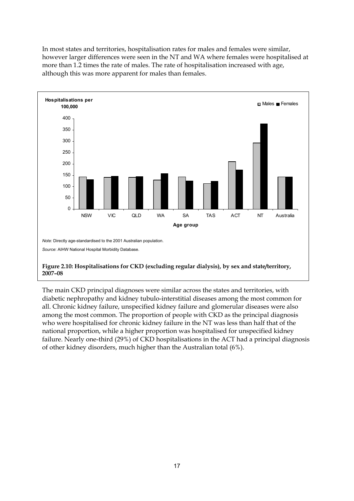In most states and territories, hospitalisation rates for males and females were similar, however larger differences were seen in the NT and WA where females were hospitalised at more than 1.2 times the rate of males. The rate of hospitalisation increased with age, although this was more apparent for males than females.



The main CKD principal diagnoses were similar across the states and territories, with diabetic nephropathy and kidney tubulo-interstitial diseases among the most common for all. Chronic kidney failure, unspecified kidney failure and glomerular diseases were also among the most common. The proportion of people with CKD as the principal diagnosis who were hospitalised for chronic kidney failure in the NT was less than half that of the national proportion, while a higher proportion was hospitalised for unspecified kidney failure. Nearly one-third (29%) of CKD hospitalisations in the ACT had a principal diagnosis of other kidney disorders, much higher than the Australian total (6%).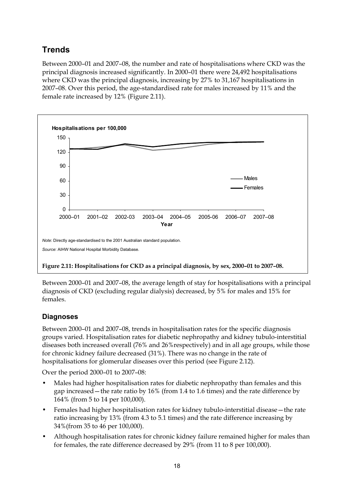## **Trends**

Between 2000–01 and 2007–08, the number and rate of hospitalisations where CKD was the principal diagnosis increased significantly. In 2000–01 there were 24,492 hospitalisations where CKD was the principal diagnosis, increasing by 27% to 31,167 hospitalisations in 2007–08. Over this period, the age-standardised rate for males increased by 11% and the female rate increased by 12% (Figure 2.11).



Between 2000–01 and 2007–08, the average length of stay for hospitalisations with a principal diagnosis of CKD (excluding regular dialysis) decreased, by 5% for males and 15% for females.

### **Diagnoses**

Between 2000–01 and 2007–08, trends in hospitalisation rates for the specific diagnosis groups varied. Hospitalisation rates for diabetic nephropathy and kidney tubulo-interstitial diseases both increased overall (76% and 26%respectively) and in all age groups, while those for chronic kidney failure decreased (31%). There was no change in the rate of hospitalisations for glomerular diseases over this period (see Figure 2.12).

Over the period 2000–01 to 2007–08:

- Males had higher hospitalisation rates for diabetic nephropathy than females and this gap increased—the rate ratio by 16% (from 1.4 to 1.6 times) and the rate difference by 164% (from 5 to 14 per 100,000).
- Females had higher hospitalisation rates for kidney tubulo-interstitial disease—the rate ratio increasing by 13% (from 4.3 to 5.1 times) and the rate difference increasing by 34%(from 35 to 46 per 100,000).
- Although hospitalisation rates for chronic kidney failure remained higher for males than for females, the rate difference decreased by 29% (from 11 to 8 per 100,000).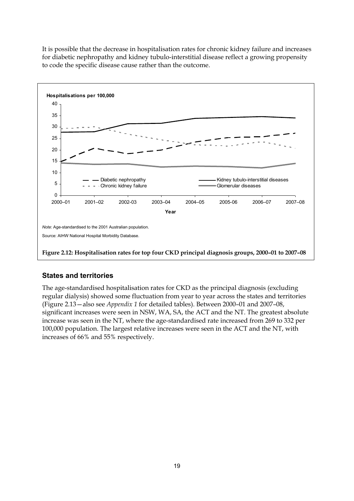It is possible that the decrease in hospitalisation rates for chronic kidney failure and increases for diabetic nephropathy and kidney tubulo-interstitial disease reflect a growing propensity to code the specific disease cause rather than the outcome.



### **States and territories**

The age-standardised hospitalisation rates for CKD as the principal diagnosis (excluding regular dialysis) showed some fluctuation from year to year across the states and territories (Figure 2.13—also see *Appendix 1* for detailed tables). Between 2000–01 and 2007–08, significant increases were seen in NSW, WA, SA, the ACT and the NT. The greatest absolute increase was seen in the NT, where the age-standardised rate increased from 269 to 332 per 100,000 population. The largest relative increases were seen in the ACT and the NT, with increases of 66% and 55% respectively.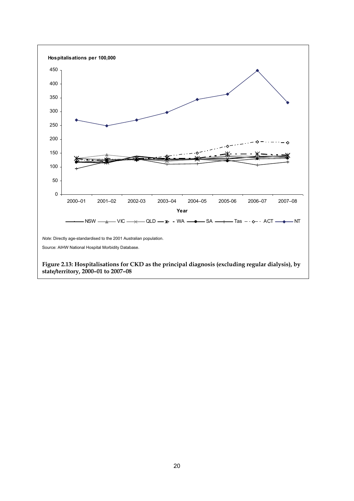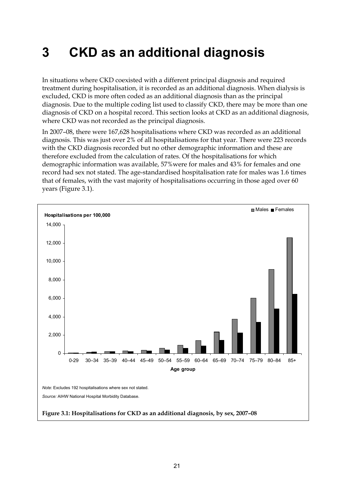# <span id="page-26-0"></span>**3 CKD as an additional diagnosis**

In situations where CKD coexisted with a different principal diagnosis and required treatment during hospitalisation, it is recorded as an additional diagnosis. When dialysis is excluded, CKD is more often coded as an additional diagnosis than as the principal diagnosis. Due to the multiple coding list used to classify CKD, there may be more than one diagnosis of CKD on a hospital record. This section looks at CKD as an additional diagnosis, where CKD was not recorded as the principal diagnosis.

In 2007–08, there were 167,628 hospitalisations where CKD was recorded as an additional diagnosis. This was just over 2% of all hospitalisations for that year. There were 223 records with the CKD diagnosis recorded but no other demographic information and these are therefore excluded from the calculation of rates. Of the hospitalisations for which demographic information was available, 57%were for males and 43% for females and one record had sex not stated. The age-standardised hospitalisation rate for males was 1.6 times that of females, with the vast majority of hospitalisations occurring in those aged over 60 years (Figure 3.1).

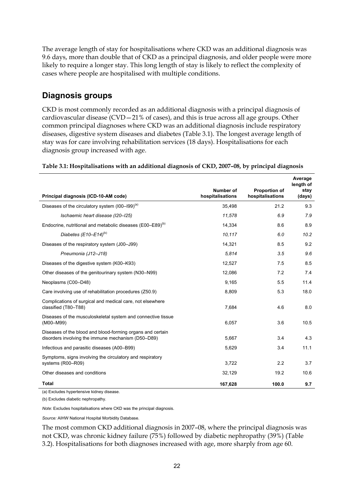The average length of stay for hospitalisations where CKD was an additional diagnosis was 9.6 days, more than double that of CKD as a principal diagnosis, and older people were more likely to require a longer stay. This long length of stay is likely to reflect the complexity of cases where people are hospitalised with multiple conditions.

### **Diagnosis groups**

CKD is most commonly recorded as an additional diagnosis with a principal diagnosis of cardiovascular disease (CVD—21% of cases), and this is true across all age groups. Other common principal diagnoses where CKD was an additional diagnosis include respiratory diseases, digestive system diseases and diabetes (Table 3.1). The longest average length of stay was for care involving rehabilitation services (18 days). Hospitalisations for each diagnosis group increased with age.

|                                                                                                                  |                               |                                   | Average<br>length of |
|------------------------------------------------------------------------------------------------------------------|-------------------------------|-----------------------------------|----------------------|
| Principal diagnosis (ICD-10-AM code)                                                                             | Number of<br>hospitalisations | Proportion of<br>hospitalisations | stay<br>(days)       |
| Diseases of the circulatory system $(100-199)^{(a)}$                                                             | 35,498                        | 21.2                              | 9.3                  |
| Ischaemic heart disease (I20-I25)                                                                                | 11,578                        | 6.9                               | 7.9                  |
| Endocrine, nutritional and metabolic diseases (E00–E89) <sup>(b)</sup>                                           | 14.334                        | 8.6                               | 8.9                  |
| Diabetes (E10-E14) <sup>(b)</sup>                                                                                | 10,117                        | 6.0                               | 10.2                 |
| Diseases of the respiratory system (J00-J99)                                                                     | 14,321                        | 8.5                               | 9.2                  |
| Pneumonia (J12-J18)                                                                                              | 5,814                         | 3.5                               | 9.6                  |
| Diseases of the digestive system (K00-K93)                                                                       | 12,527                        | 7.5                               | 8.5                  |
| Other diseases of the genitourinary system (N30–N99)                                                             | 12,086                        | 7.2                               | 7.4                  |
| Neoplasms (C00-D48)                                                                                              | 9,165                         | 5.5                               | 11.4                 |
| Care involving use of rehabilitation procedures (Z50.9)                                                          | 8,809                         | 5.3                               | 18.0                 |
| Complications of surgical and medical care, not elsewhere<br>classified (T80-T88)                                | 7,684                         | 4.6                               | 8.0                  |
| Diseases of the musculoskeletal system and connective tissue<br>(M00-M99)                                        | 6,057                         | 3.6                               | 10.5                 |
| Diseases of the blood and blood-forming organs and certain<br>disorders involving the immune mechanism (D50-D89) | 5,667                         | 3.4                               | 4.3                  |
| Infectious and parasitic diseases (A00-B99)                                                                      | 5,629                         | 3.4                               | 11.1                 |
| Symptoms, signs involving the circulatory and respiratory<br>systems (R00-R09)                                   | 3,722                         | 2.2                               | 3.7                  |
| Other diseases and conditions                                                                                    | 32,129                        | 19.2                              | 10.6                 |
| <b>Total</b>                                                                                                     | 167,628                       | 100.0                             | 9.7                  |

**Table 3.1: Hospitalisations with an additional diagnosis of CKD, 2007–08, by principal diagnosis** 

(a) Excludes hypertensive kidney disease.

(b) Excludes diabetic nephropathy.

*Note:* Excludes hospitalisations where CKD was the principal diagnosis.

*Source:* AIHW National Hospital Morbidity Database.

The most common CKD additional diagnosis in 2007–08, where the principal diagnosis was not CKD, was chronic kidney failure (75%) followed by diabetic nephropathy (39%) (Table 3.2). Hospitalisations for both diagnoses increased with age, more sharply from age 60.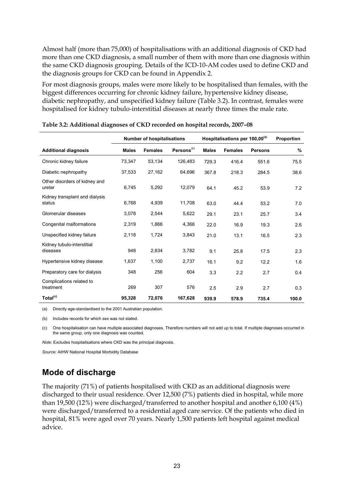Almost half (more than 75,000) of hospitalisations with an additional diagnosis of CKD had more than one CKD diagnosis, a small number of them with more than one diagnosis within the same CKD diagnosis grouping. Details of the ICD-10-AM codes used to define CKD and the diagnosis groups for CKD can be found in Appendix 2.

For most diagnosis groups, males were more likely to be hospitalised than females, with the biggest differences occurring for chronic kidney failure, hypertensive kidney disease, diabetic nephropathy, and unspecified kidney failure (Table 3.2). In contrast, females were hospitalised for kidney tubulo-interstitial diseases at nearly three times the male rate.

|                                          | <b>Number of hospitalisations</b> |                | Hospitalisations per 100,00 <sup>(a)</sup> |              |                | <b>Proportion</b> |       |
|------------------------------------------|-----------------------------------|----------------|--------------------------------------------|--------------|----------------|-------------------|-------|
| <b>Additional diagnosis</b>              | <b>Males</b>                      | <b>Females</b> | Persons <sup>(b)</sup>                     | <b>Males</b> | <b>Females</b> | <b>Persons</b>    | %     |
| Chronic kidney failure                   | 73,347                            | 53,134         | 126,483                                    | 729.3        | 416.4          | 551.6             | 75.5  |
| Diabetic nephropathy                     | 37,533                            | 27,162         | 64,696                                     | 367.8        | 218.3          | 284.5             | 38.6  |
| Other disorders of kidney and<br>ureter  | 6.745                             | 5.292          | 12,079                                     | 64.1         | 45.2           | 53.9              | 7.2   |
| Kidney transplant and dialysis<br>status | 6.768                             | 4,939          | 11,708                                     | 63.0         | 44.4           | 53.2              | 7.0   |
| Glomerular diseases                      | 3,078                             | 2,544          | 5,622                                      | 29.1         | 23.1           | 25.7              | 3.4   |
| Congenital malformations                 | 2,319                             | 1.866          | 4,366                                      | 22.0         | 16.9           | 19.3              | 2.6   |
| Unspecified kidney failure               | 2.118                             | 1,724          | 3,843                                      | 21.0         | 13.1           | 16.5              | 2.3   |
| Kidney tubulo-interstitial<br>diseases   | 948                               | 2,834          | 3,782                                      | 9.1          | 25.8           | 17.5              | 2.3   |
| Hypertensive kidney disease              | 1,637                             | 1,100          | 2,737                                      | 16.1         | 9.2            | 12.2              | 1.6   |
| Preparatory care for dialysis            | 348                               | 256            | 604                                        | 3.3          | 2.2            | 2.7               | 0.4   |
| Complications related to<br>treatment    | 269                               | 307            | 576                                        | 2.5          | 2.9            | 2.7               | 0.3   |
| Total <sup>(c)</sup>                     | 95,328                            | 72,076         | 167,628                                    | 939.9        | 578.9          | 735.4             | 100.0 |

| Table 3.2: Additional diagnoses of CKD recorded on hospital records, 2007-08 |  |  |
|------------------------------------------------------------------------------|--|--|
|                                                                              |  |  |

(a) Directly age-standardised to the 2001 Australian population.

(b) Includes records for which sex was not stated.

(c) One hospitalisation can have multiple associated diagnoses. Therefore numbers will not add up to total. If multiple diagnoses occurred in the same group, only one diagnosis was counted.

*Note*: Excludes hospitalisations where CKD was the principal diagnosis.

*Source:* AIHW National Hospital Morbidity Database

### **Mode of discharge**

The majority (71%) of patients hospitalised with CKD as an additional diagnosis were discharged to their usual residence. Over 12,500 (7%) patients died in hospital, while more than 19,500 (12%) were discharged/transferred to another hospital and another 6,100 (4%) were discharged/transferred to a residential aged care service. Of the patients who died in hospital, 81% were aged over 70 years. Nearly 1,500 patients left hospital against medical advice.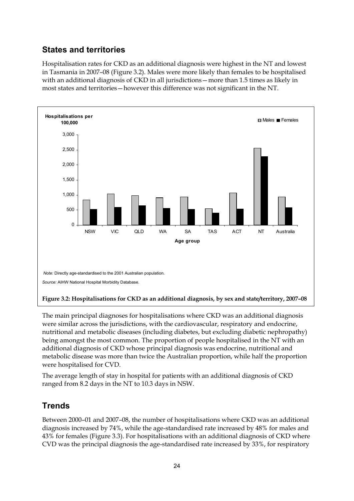## **States and territories**

Hospitalisation rates for CKD as an additional diagnosis were highest in the NT and lowest in Tasmania in 2007–08 (Figure 3.2). Males were more likely than females to be hospitalised with an additional diagnosis of CKD in all jurisdictions—more than 1.5 times as likely in most states and territories—however this difference was not significant in the NT.



The main principal diagnoses for hospitalisations where CKD was an additional diagnosis were similar across the jurisdictions, with the cardiovascular, respiratory and endocrine, nutritional and metabolic diseases (including diabetes, but excluding diabetic nephropathy) being amongst the most common. The proportion of people hospitalised in the NT with an additional diagnosis of CKD whose principal diagnosis was endocrine, nutritional and metabolic disease was more than twice the Australian proportion, while half the proportion were hospitalised for CVD.

The average length of stay in hospital for patients with an additional diagnosis of CKD ranged from 8.2 days in the NT to 10.3 days in NSW.

## **Trends**

Between 2000–01 and 2007–08, the number of hospitalisations where CKD was an additional diagnosis increased by 74%, while the age-standardised rate increased by 48% for males and 43% for females (Figure 3.3). For hospitalisations with an additional diagnosis of CKD where CVD was the principal diagnosis the age-standardised rate increased by 33%, for respiratory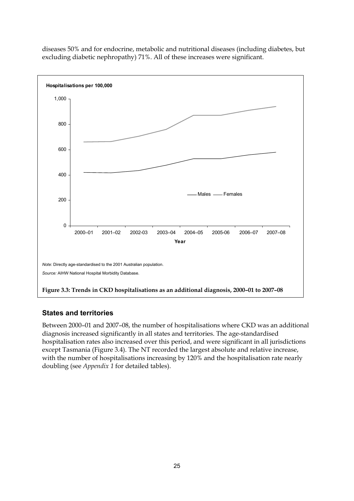

diseases 50% and for endocrine, metabolic and nutritional diseases (including diabetes, but excluding diabetic nephropathy) 71%. All of these increases were significant.

### **States and territories**

Between 2000–01 and 2007–08, the number of hospitalisations where CKD was an additional diagnosis increased significantly in all states and territories. The age-standardised hospitalisation rates also increased over this period, and were significant in all jurisdictions except Tasmania (Figure 3.4). The NT recorded the largest absolute and relative increase, with the number of hospitalisations increasing by 120% and the hospitalisation rate nearly doubling (see *Appendix 1* for detailed tables).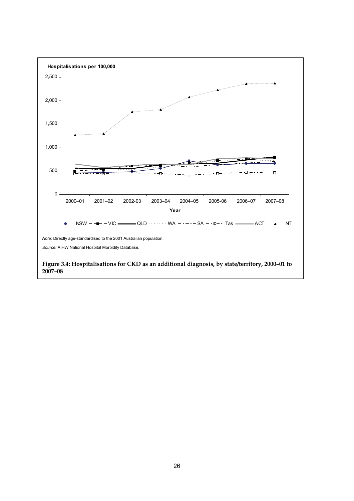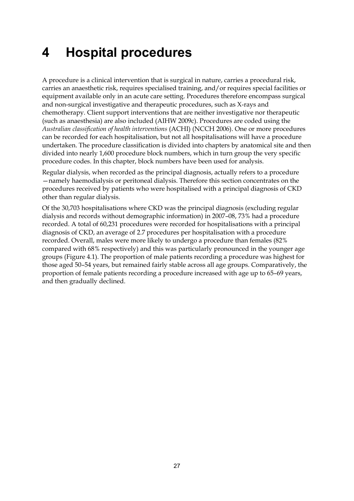# <span id="page-32-0"></span>**4 Hospital procedures**

A procedure is a clinical intervention that is surgical in nature, carries a procedural risk, carries an anaesthetic risk, requires specialised training, and/or requires special facilities or equipment available only in an acute care setting. Procedures therefore encompass surgical and non-surgical investigative and therapeutic procedures, such as X-rays and chemotherapy. Client support interventions that are neither investigative nor therapeutic (such as anaesthesia) are also included (AIHW 2009c). Procedures are coded using the *Australian classification of health interventions* (ACHI) (NCCH 2006). One or more procedures can be recorded for each hospitalisation, but not all hospitalisations will have a procedure undertaken. The procedure classification is divided into chapters by anatomical site and then divided into nearly 1,600 procedure block numbers, which in turn group the very specific procedure codes. In this chapter, block numbers have been used for analysis.

Regular dialysis, when recorded as the principal diagnosis, actually refers to a procedure —namely haemodialysis or peritoneal dialysis. Therefore this section concentrates on the procedures received by patients who were hospitalised with a principal diagnosis of CKD other than regular dialysis.

Of the 30,703 hospitalisations where CKD was the principal diagnosis (excluding regular dialysis and records without demographic information) in 2007–08, 73% had a procedure recorded. A total of 60,231 procedures were recorded for hospitalisations with a principal diagnosis of CKD, an average of 2.7 procedures per hospitalisation with a procedure recorded. Overall, males were more likely to undergo a procedure than females (82% compared with 68% respectively) and this was particularly pronounced in the younger age groups (Figure 4.1). The proportion of male patients recording a procedure was highest for those aged 50–54 years, but remained fairly stable across all age groups. Comparatively, the proportion of female patients recording a procedure increased with age up to 65–69 years, and then gradually declined.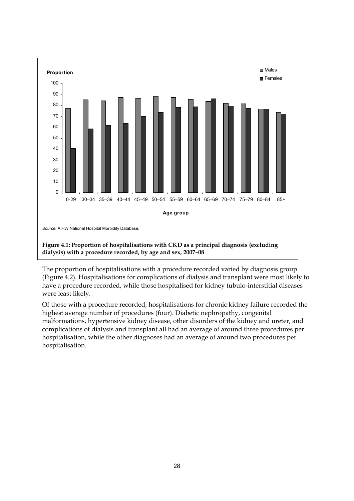

The proportion of hospitalisations with a procedure recorded varied by diagnosis group (Figure 4.2). Hospitalisations for complications of dialysis and transplant were most likely to have a procedure recorded, while those hospitalised for kidney tubulo-interstitial diseases were least likely.

Of those with a procedure recorded, hospitalisations for chronic kidney failure recorded the highest average number of procedures (four). Diabetic nephropathy, congenital malformations, hypertensive kidney disease, other disorders of the kidney and ureter, and complications of dialysis and transplant all had an average of around three procedures per hospitalisation, while the other diagnoses had an average of around two procedures per hospitalisation.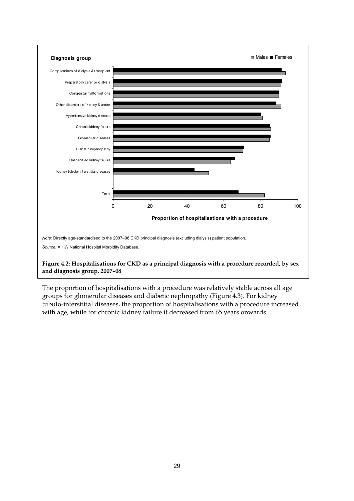

The proportion of hospitalisations with a procedure was relatively stable across all age groups for glomerular diseases and diabetic nephropathy (Figure 4.3). For kidney tubulo-interstitial diseases, the proportion of hospitalisations with a procedure increased with age, while for chronic kidney failure it decreased from 65 years onwards.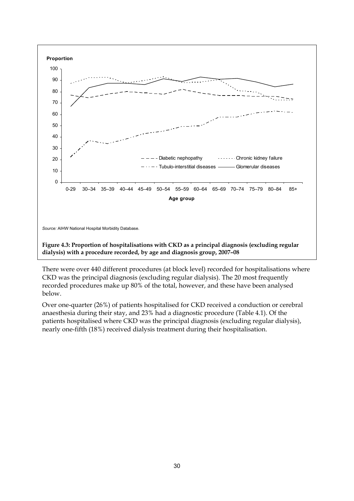

**dialysis) with a procedure recorded, by age and diagnosis group, 2007–08** 

There were over 440 different procedures (at block level) recorded for hospitalisations where CKD was the principal diagnosis (excluding regular dialysis). The 20 most frequently recorded procedures make up 80% of the total, however, and these have been analysed below.

Over one-quarter (26%) of patients hospitalised for CKD received a conduction or cerebral anaesthesia during their stay, and 23% had a diagnostic procedure (Table 4.1). Of the patients hospitalised where CKD was the principal diagnosis (excluding regular dialysis), nearly one-fifth (18%) received dialysis treatment during their hospitalisation.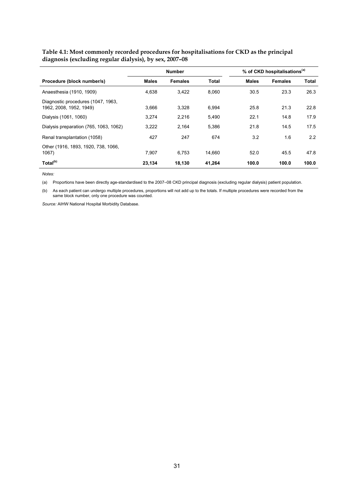|                                                               | <b>Number</b> |                |              |              | % of CKD hospitalisations <sup>(a)</sup> |              |
|---------------------------------------------------------------|---------------|----------------|--------------|--------------|------------------------------------------|--------------|
| Procedure (block number/s)                                    | <b>Males</b>  | <b>Females</b> | <b>Total</b> | <b>Males</b> | <b>Females</b>                           | <b>Total</b> |
| Anaesthesia (1910, 1909)                                      | 4,638         | 3.422          | 8.060        | 30.5         | 23.3                                     | 26.3         |
| Diagnostic procedures (1047, 1963,<br>1962, 2008, 1952, 1949) | 3,666         | 3.328          | 6,994        | 25.8         | 21.3                                     | 22.8         |
| Dialysis (1061, 1060)                                         | 3.274         | 2.216          | 5,490        | 22.1         | 14.8                                     | 17.9         |
| Dialysis preparation (765, 1063, 1062)                        | 3,222         | 2.164          | 5,386        | 21.8         | 14.5                                     | 17.5         |
| Renal transplantation (1058)                                  | 427           | 247            | 674          | 3.2          | 1.6                                      | 2.2          |
| Other (1916, 1893, 1920, 738, 1066,<br>1067                   | 7.907         | 6.753          | 14.660       | 52.0         | 45.5                                     | 47.8         |
| Total <sup>(b)</sup>                                          | 23.134        | 18.130         | 41.264       | 100.0        | 100.0                                    | 100.0        |

**Table 4.1: Most commonly recorded procedures for hospitalisations for CKD as the principal diagnosis (excluding regular dialysis), by sex, 2007–08** 

*Notes:*

(a) Proportions have been directly age-standardised to the 2007–08 CKD principal diagnosis (excluding regular dialysis) patient population.

(b) As each patient can undergo multiple procedures, proportions will not add up to the totals. If multiple procedures were recorded from the same block number, only one procedure was counted.

*Source:* AIHW National Hospital Morbidity Database.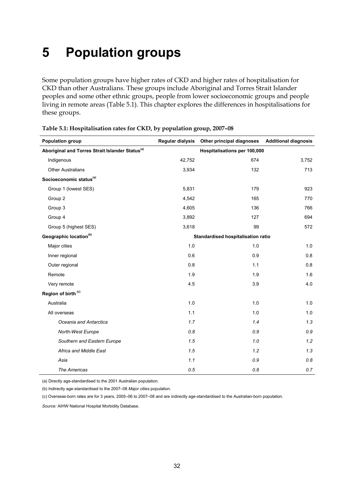# <span id="page-37-0"></span>**5 Population groups**

Some population groups have higher rates of CKD and higher rates of hospitalisation for CKD than other Australians. These groups include Aboriginal and Torres Strait Islander peoples and some other ethnic groups, people from lower socioeconomic groups and people living in remote areas (Table 5.1). This chapter explores the differences in hospitalisations for these groups.

| <b>Population group</b>                                     | <b>Regular dialysis</b>            | Other principal diagnoses    | <b>Additional diagnosis</b> |  |
|-------------------------------------------------------------|------------------------------------|------------------------------|-----------------------------|--|
| Aboriginal and Torres Strait Islander Status <sup>(a)</sup> |                                    | Hospitalisations per 100,000 |                             |  |
| Indigenous                                                  | 42,752                             | 674                          | 3,752                       |  |
| <b>Other Australians</b>                                    | 3,934                              | 132                          | 713                         |  |
| Socioeconomic status <sup>(a)</sup>                         |                                    |                              |                             |  |
| Group 1 (lowest SES)                                        | 5,831                              | 179                          | 923                         |  |
| Group 2                                                     | 4,542                              | 165                          | 770                         |  |
| Group 3                                                     | 4,605                              | 136                          | 766                         |  |
| Group 4                                                     | 3,892                              | 127                          | 694                         |  |
| Group 5 (highest SES)                                       | 3,618                              | 99                           | 572                         |  |
| Geographic location <sup>(b)</sup>                          | Standardised hospitalisation ratio |                              |                             |  |
| Major cities                                                | 1.0                                | 1.0                          | 1.0                         |  |
| Inner regional                                              | 0.6                                | 0.9                          | 0.8                         |  |
| Outer regional                                              | 0.8                                | 1.1                          | 0.8                         |  |
| Remote                                                      | 1.9                                | 1.9                          | 1.6                         |  |
| Very remote                                                 | 4.5                                | 3.9                          | 4.0                         |  |
| Region of birth <sup>(c)</sup>                              |                                    |                              |                             |  |
| Australia                                                   | 1.0                                | 1.0                          | 1.0                         |  |
| All overseas                                                | 1.1                                | 1.0                          | 1.0                         |  |
| Oceania and Antarctica                                      | 1.7                                | 1.4                          | 1.3                         |  |
| North-West Europe                                           | 0.8                                | 0.9                          | 0.9                         |  |
| Southern and Eastern Europe                                 | 1.5                                | $1.0$                        | 1.2                         |  |
| Africa and Middle East                                      | 1.5                                | 1.2                          | 1.3                         |  |
| Asia                                                        | 1.1                                | 0.9                          | 0.8                         |  |
| The Americas                                                | 0.5                                | 0.8                          | 0.7                         |  |

|  | Table 5.1: Hospitalisation rates for CKD, by population group, 2007-08 |  |
|--|------------------------------------------------------------------------|--|
|  |                                                                        |  |

(a) Directly age-standardised to the 2001 Australian population.

(b) Indirectly age-standardised to the 2007–08 *Major cities* population.

(c) Overseas-born rates are for 3 years, 2005–06 to 2007–08 and are indirectly age-standardised to the Australian-born population.

*Source:* AIHW National Hospital Morbidity Database.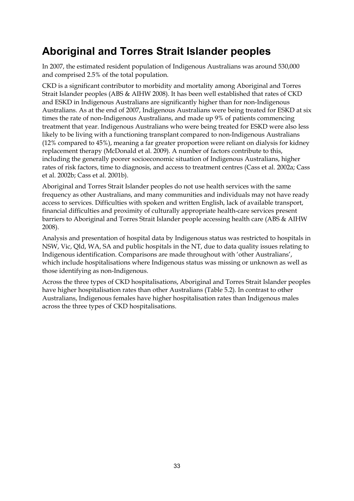## <span id="page-38-0"></span>**Aboriginal and Torres Strait Islander peoples**

In 2007, the estimated resident population of Indigenous Australians was around 530,000 and comprised 2.5% of the total population.

CKD is a significant contributor to morbidity and mortality among Aboriginal and Torres Strait Islander peoples (ABS & AIHW 2008). It has been well established that rates of CKD and ESKD in Indigenous Australians are significantly higher than for non-Indigenous Australians. As at the end of 2007, Indigenous Australians were being treated for ESKD at six times the rate of non-Indigenous Australians, and made up 9% of patients commencing treatment that year. Indigenous Australians who were being treated for ESKD were also less likely to be living with a functioning transplant compared to non-Indigenous Australians (12% compared to 45%), meaning a far greater proportion were reliant on dialysis for kidney replacement therapy (McDonald et al. 2009). A number of factors contribute to this, including the generally poorer socioeconomic situation of Indigenous Australians, higher rates of risk factors, time to diagnosis, and access to treatment centres (Cass et al. 2002a; Cass et al. 2002b; Cass et al. 2001b).

Aboriginal and Torres Strait Islander peoples do not use health services with the same frequency as other Australians, and many communities and individuals may not have ready access to services. Difficulties with spoken and written English, lack of available transport, financial difficulties and proximity of culturally appropriate health-care services present barriers to Aboriginal and Torres Strait Islander people accessing health care (ABS & AIHW 2008).

Analysis and presentation of hospital data by Indigenous status was restricted to hospitals in NSW, Vic, Qld, WA, SA and public hospitals in the NT, due to data quality issues relating to Indigenous identification. Comparisons are made throughout with 'other Australians', which include hospitalisations where Indigenous status was missing or unknown as well as those identifying as non-Indigenous.

Across the three types of CKD hospitalisations, Aboriginal and Torres Strait Islander peoples have higher hospitalisation rates than other Australians (Table 5.2). In contrast to other Australians, Indigenous females have higher hospitalisation rates than Indigenous males across the three types of CKD hospitalisations.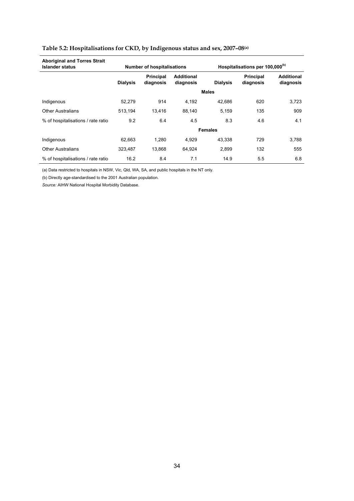| <b>Aboriginal and Torres Strait</b><br><b>Islander status</b> |                 | <b>Number of hospitalisations</b> |                                |                 | Hospitalisations per 100,000 <sup>(b)</sup> |                                |
|---------------------------------------------------------------|-----------------|-----------------------------------|--------------------------------|-----------------|---------------------------------------------|--------------------------------|
|                                                               | <b>Dialysis</b> | Principal<br>diagnosis            | <b>Additional</b><br>diagnosis | <b>Dialysis</b> | <b>Principal</b><br>diagnosis               | <b>Additional</b><br>diagnosis |
|                                                               |                 |                                   |                                | <b>Males</b>    |                                             |                                |
| Indigenous                                                    | 52,279          | 914                               | 4,192                          | 42.686          | 620                                         | 3,723                          |
| <b>Other Australians</b>                                      | 513,194         | 13,416                            | 88,140                         | 5,159           | 135                                         | 909                            |
| % of hospitalisations / rate ratio                            | 9.2             | 6.4                               | 4.5                            | 8.3             | 4.6                                         | 4.1                            |
|                                                               |                 |                                   |                                | <b>Females</b>  |                                             |                                |
| Indigenous                                                    | 62,663          | 1,280                             | 4.929                          | 43,338          | 729                                         | 3,788                          |
| <b>Other Australians</b>                                      | 323,487         | 13,868                            | 64,924                         | 2,899           | 132                                         | 555                            |
| % of hospitalisations / rate ratio                            | 16.2            | 8.4                               | 7.1                            | 14.9            | 5.5                                         | 6.8                            |

### **Table 5.2: Hospitalisations for CKD, by Indigenous status and sex, 2007–08(a)**

(a) Data restricted to hospitals in NSW, Vic, Qld, WA, SA, and public hospitals in the NT only.

(b) Directly age-standardised to the 2001 Australian population.

*Source:* AIHW National Hospital Morbidity Database.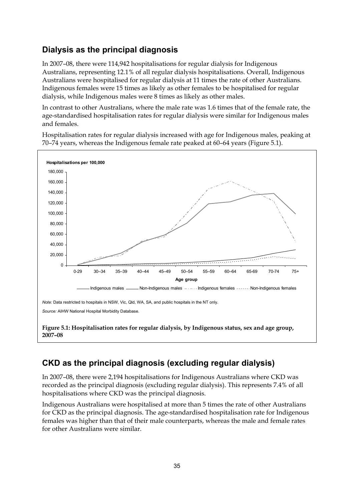## **Dialysis as the principal diagnosis**

In 2007–08, there were 114,942 hospitalisations for regular dialysis for Indigenous Australians, representing 12.1% of all regular dialysis hospitalisations. Overall, Indigenous Australians were hospitalised for regular dialysis at 11 times the rate of other Australians. Indigenous females were 15 times as likely as other females to be hospitalised for regular dialysis, while Indigenous males were 8 times as likely as other males.

In contrast to other Australians, where the male rate was 1.6 times that of the female rate, the age-standardised hospitalisation rates for regular dialysis were similar for Indigenous males and females.

Hospitalisation rates for regular dialysis increased with age for Indigenous males, peaking at 70–74 years, whereas the Indigenous female rate peaked at 60–64 years (Figure 5.1).



## **CKD as the principal diagnosis (excluding regular dialysis)**

In 2007–08, there were 2,194 hospitalisations for Indigenous Australians where CKD was recorded as the principal diagnosis (excluding regular dialysis). This represents 7.4% of all hospitalisations where CKD was the principal diagnosis.

Indigenous Australians were hospitalised at more than 5 times the rate of other Australians for CKD as the principal diagnosis. The age-standardised hospitalisation rate for Indigenous females was higher than that of their male counterparts, whereas the male and female rates for other Australians were similar.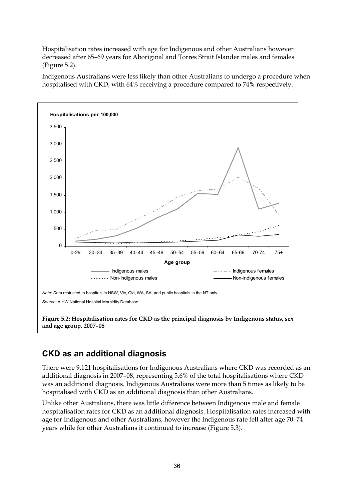Hospitalisation rates increased with age for Indigenous and other Australians however decreased after 65–69 years for Aboriginal and Torres Strait Islander males and females (Figure 5.2).

Indigenous Australians were less likely than other Australians to undergo a procedure when hospitalised with CKD, with 64% receiving a procedure compared to 74% respectively.



## **CKD as an additional diagnosis**

There were 9,121 hospitalisations for Indigenous Australians where CKD was recorded as an additional diagnosis in 2007–08, representing 5.6% of the total hospitalisations where CKD was an additional diagnosis. Indigenous Australians were more than 5 times as likely to be hospitalised with CKD as an additional diagnosis than other Australians.

Unlike other Australians, there was little difference between Indigenous male and female hospitalisation rates for CKD as an additional diagnosis. Hospitalisation rates increased with age for Indigenous and other Australians, however the Indigenous rate fell after age 70–74 years while for other Australians it continued to increase (Figure 5.3).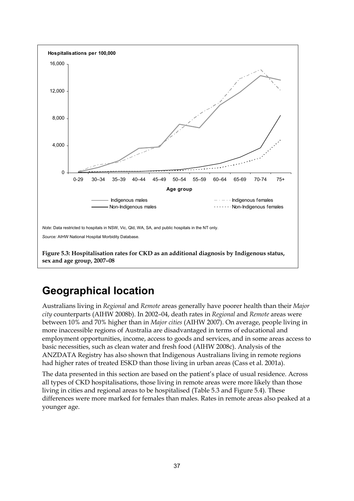

## <span id="page-42-0"></span>**Geographical location**

Australians living in *Regional* and *Remote* areas generally have poorer health than their *Major city* counterparts (AIHW 2008b). In 2002–04, death rates in *Regional* and *Remote* areas were between 10% and 70% higher than in *Major cities* (AIHW 2007). On average, people living in more inaccessible regions of Australia are disadvantaged in terms of educational and employment opportunities, income, access to goods and services, and in some areas access to basic necessities, such as clean water and fresh food (AIHW 2008c). Analysis of the ANZDATA Registry has also shown that Indigenous Australians living in remote regions had higher rates of treated ESKD than those living in urban areas (Cass et al. 2001a).

The data presented in this section are based on the patient's place of usual residence. Across all types of CKD hospitalisations, those living in remote areas were more likely than those living in cities and regional areas to be hospitalised (Table 5.3 and Figure 5.4). These differences were more marked for females than males. Rates in remote areas also peaked at a younger age.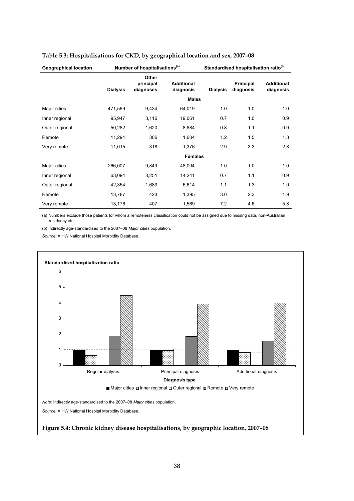| <b>Geographical location</b> |                 | Number of hospitalisations <sup>(a)</sup> |                                |                 | Standardised hospitalisation ratio <sup>(b)</sup> |                                |
|------------------------------|-----------------|-------------------------------------------|--------------------------------|-----------------|---------------------------------------------------|--------------------------------|
|                              | <b>Dialysis</b> | Other<br>principal<br>diagnoses           | <b>Additional</b><br>diagnosis | <b>Dialysis</b> | <b>Principal</b><br>diagnosis                     | <b>Additional</b><br>diagnosis |
|                              |                 |                                           | <b>Males</b>                   |                 |                                                   |                                |
| Major cities                 | 471,569         | 9,434                                     | 64,019                         | 1.0             | 1.0                                               | 1.0                            |
| Inner regional               | 95,947          | 3,116                                     | 19,061                         | 0.7             | 1.0                                               | 0.9                            |
| Outer regional               | 50,282          | 1,620                                     | 8,884                          | 0.8             | 1.1                                               | 0.9                            |
| Remote                       | 11,291          | 306                                       | 1,604                          | 1.2             | 1.5                                               | 1.3                            |
| Very remote                  | 11,015          | 318                                       | 1,376                          | 2.9             | 3.3                                               | 2.8                            |
|                              |                 |                                           | <b>Females</b>                 |                 |                                                   |                                |
| Major cities                 | 266,007         | 9,849                                     | 48,004                         | 1.0             | 1.0                                               | 1.0                            |
| Inner regional               | 63,094          | 3,251                                     | 14,241                         | 0.7             | 1.1                                               | 0.9                            |
| Outer regional               | 42,354          | 1,689                                     | 6,614                          | 1.1             | 1.3                                               | 1.0                            |
| Remote                       | 13,787          | 423                                       | 1,395                          | 3.0             | 2.3                                               | 1.9                            |
| Very remote                  | 13,176          | 407                                       | 1,569                          | 7.2             | 4.6                                               | 5.8                            |

#### **Table 5.3: Hospitalisations for CKD, by geographical location and sex, 2007–08**

(a) Numbers exclude those patients for whom a remoteness classification could not be assigned due to missing data, non-Australian residency etc.

(b) Indirectly age-standardised to the 2007–08 *Major cities* population.

*Source:* AIHW National Hospital Morbidity Database.

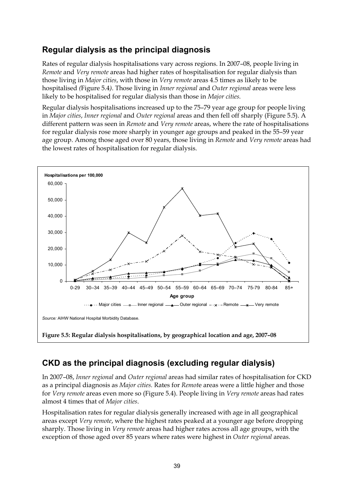## **Regular dialysis as the principal diagnosis**

Rates of regular dialysis hospitalisations vary across regions. In 2007–08, people living in *Remote* and *Very remote* areas had higher rates of hospitalisation for regular dialysis than those living in *Major cities*, with those in *Very remote* areas 4.5 times as likely to be hospitalised *(*Figure 5.4*)*. Those living in *Inner regional* and *Outer regional* areas were less likely to be hospitalised for regular dialysis than those in *Major cities.* 

Regular dialysis hospitalisations increased up to the 75–79 year age group for people living in *Major cities*, *Inner regional* and *Outer regional* areas and then fell off sharply (Figure 5.5). A different pattern was seen in *Remote* and *Very remote* areas, where the rate of hospitalisations for regular dialysis rose more sharply in younger age groups and peaked in the 55–59 year age group. Among those aged over 80 years, those living in *Remote* and *Very remote* areas had the lowest rates of hospitalisation for regular dialysis.



## **CKD as the principal diagnosis (excluding regular dialysis)**

In 2007–08, *Inner regional* and *Outer regional* areas had similar rates of hospitalisation for CKD as a principal diagnosis as *Major cities.* Rates for *Remot*e areas were a little higher and those for *Very remote* areas even more so (Figure 5.4). People living in *Very remote* areas had rates almost 4 times that of *Major cities*.

Hospitalisation rates for regular dialysis generally increased with age in all geographical areas except *Very remote*, where the highest rates peaked at a younger age before dropping sharply. Those living in *Very remote* areas had higher rates across all age groups, with the exception of those aged over 85 years where rates were highest in *Outer regional* areas.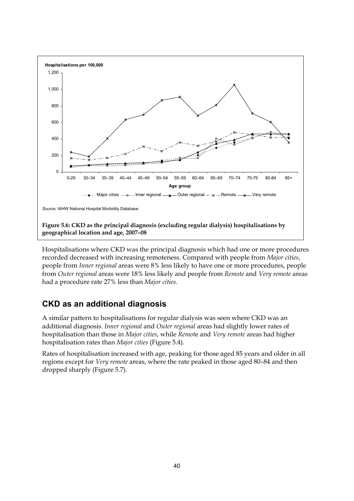

Hospitalisations where CKD was the principal diagnosis which had one or more procedures recorded decreased with increasing remoteness. Compared with people from *Major cities*, people from *Inner regional* areas were 8% less likely to have one or more procedures, people from *Outer regional* areas were 18% less likely and people from *Remote* and *Very remote* areas had a procedure rate 27% less than *Major cities*.

### **CKD as an additional diagnosis**

A similar pattern to hospitalisations for regular dialysis was seen where CKD was an additional diagnosis. *Inner regional* and *Outer regional* areas had slightly lower rates of hospitalisation than those in *Major cities*, while *Remot*e and *Very remote* areas had higher hospitalisation rates than *Major cities* (Figure 5.4).

Rates of hospitalisation increased with age, peaking for those aged 85 years and older in all regions except for *Very remote* areas, where the rate peaked in those aged 80–84 and then dropped sharply (Figure 5.7).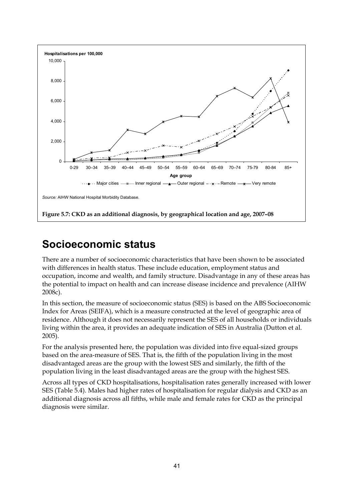

## <span id="page-46-0"></span>**Socioeconomic status**

There are a number of socioeconomic characteristics that have been shown to be associated with differences in health status. These include education, employment status and occupation, income and wealth, and family structure. Disadvantage in any of these areas has the potential to impact on health and can increase disease incidence and prevalence (AIHW 2008c).

In this section, the measure of socioeconomic status (SES) is based on the ABS Socioeconomic Index for Areas (SEIFA), which is a measure constructed at the level of geographic area of residence. Although it does not necessarily represent the SES of all households or individuals living within the area, it provides an adequate indication of SES in Australia (Dutton et al. 2005).

For the analysis presented here, the population was divided into five equal-sized groups based on the area-measure of SES. That is, the fifth of the population living in the most disadvantaged areas are the group with the lowest SES and similarly, the fifth of the population living in the least disadvantaged areas are the group with the highest SES.

Across all types of CKD hospitalisations, hospitalisation rates generally increased with lower SES (Table 5.4). Males had higher rates of hospitalisation for regular dialysis and CKD as an additional diagnosis across all fifths, while male and female rates for CKD as the principal diagnosis were similar.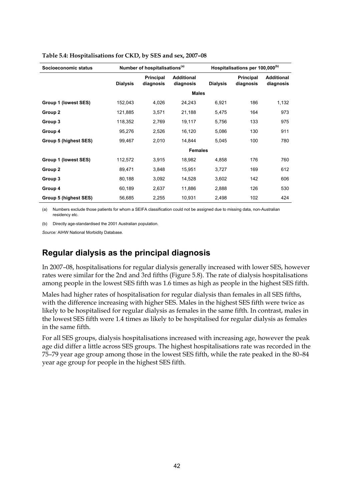| Socioeconomic status  |                 | Number of hospitalisations <sup>(a)</sup> |                                |                 | Hospitalisations per 100,000 <sup>(b)</sup> |                                |
|-----------------------|-----------------|-------------------------------------------|--------------------------------|-----------------|---------------------------------------------|--------------------------------|
|                       | <b>Dialysis</b> | Principal<br>diagnosis                    | <b>Additional</b><br>diagnosis | <b>Dialysis</b> | <b>Principal</b><br>diagnosis               | <b>Additional</b><br>diagnosis |
|                       |                 |                                           |                                | <b>Males</b>    |                                             |                                |
| Group 1 (lowest SES)  | 152,043         | 4,026                                     | 24,243                         | 6,921           | 186                                         | 1,132                          |
| Group 2               | 121,885         | 3,571                                     | 21,188                         | 5,475           | 164                                         | 973                            |
| Group 3               | 118,352         | 2,769                                     | 19,117                         | 5,756           | 133                                         | 975                            |
| Group 4               | 95,276          | 2,526                                     | 16,120                         | 5,086           | 130                                         | 911                            |
| Group 5 (highest SES) | 99,467          | 2,010                                     | 14,844                         | 5,045           | 100                                         | 780                            |
|                       |                 |                                           |                                | <b>Females</b>  |                                             |                                |
| Group 1 (lowest SES)  | 112,572         | 3,915                                     | 18,982                         | 4,858           | 176                                         | 760                            |
| Group 2               | 89,471          | 3,848                                     | 15,951                         | 3,727           | 169                                         | 612                            |
| Group 3               | 80,188          | 3,092                                     | 14,528                         | 3,602           | 142                                         | 606                            |
| Group 4               | 60,189          | 2,637                                     | 11,886                         | 2,888           | 126                                         | 530                            |
| Group 5 (highest SES) | 56,685          | 2,255                                     | 10,931                         | 2,498           | 102                                         | 424                            |

#### **Table 5.4: Hospitalisations for CKD, by SES and sex, 2007–08**

(a) Numbers exclude those patients for whom a SEIFA classification could not be assigned due to missing data, non-Australian residency etc.

(b) Directly age-standardised the 2001 Australian population.

*Source:* AIHW National Morbidity Database.

### **Regular dialysis as the principal diagnosis**

In 2007–08, hospitalisations for regular dialysis generally increased with lower SES, however rates were similar for the 2nd and 3rd fifths (Figure 5.8). The rate of dialysis hospitalisations among people in the lowest SES fifth was 1.6 times as high as people in the highest SES fifth.

Males had higher rates of hospitalisation for regular dialysis than females in all SES fifths, with the difference increasing with higher SES. Males in the highest SES fifth were twice as likely to be hospitalised for regular dialysis as females in the same fifth. In contrast, males in the lowest SES fifth were 1.4 times as likely to be hospitalised for regular dialysis as females in the same fifth.

For all SES groups, dialysis hospitalisations increased with increasing age, however the peak age did differ a little across SES groups. The highest hospitalisations rate was recorded in the 75–79 year age group among those in the lowest SES fifth, while the rate peaked in the 80–84 year age group for people in the highest SES fifth.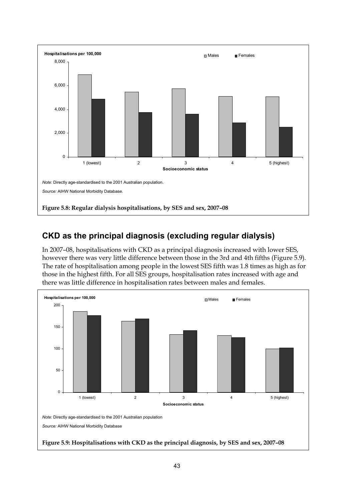

## **CKD as the principal diagnosis (excluding regular dialysis)**

In 2007–08, hospitalisations with CKD as a principal diagnosis increased with lower SES, however there was very little difference between those in the 3rd and 4th fifths (Figure 5.9)*.* The rate of hospitalisation among people in the lowest SES fifth was 1.8 times as high as for those in the highest fifth. For all SES groups, hospitalisation rates increased with age and there was little difference in hospitalisation rates between males and females.

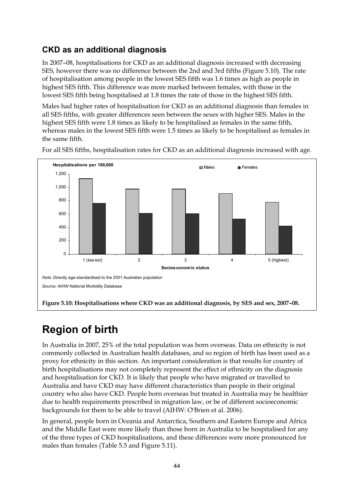## **CKD as an additional diagnosis**

In 2007–08, hospitalisations for CKD as an additional diagnosis increased with decreasing SES, however there was no difference between the 2nd and 3rd fifths (Figure 5.10). The rate of hospitalisation among people in the lowest SES fifth was 1.6 times as high as people in highest SES fifth. This difference was more marked between females, with those in the lowest SES fifth being hospitalised at 1.8 times the rate of those in the highest SES fifth.

Males had higher rates of hospitalisation for CKD as an additional diagnosis than females in all SES fifths, with greater differences seen between the sexes with higher SES. Males in the highest SES fifth were 1.8 times as likely to be hospitalised as females in the same fifth, whereas males in the lowest SES fifth were 1.5 times as likely to be hospitalised as females in the same fifth.



For all SES fifths, hospitalisation rates for CKD as an additional diagnosis increased with age.

## <span id="page-49-0"></span>**Region of birth**

In Australia in 2007, 25% of the total population was born overseas. Data on ethnicity is not commonly collected in Australian health databases, and so region of birth has been used as a proxy for ethnicity in this section. An important consideration is that results for country of birth hospitalisations may not completely represent the effect of ethnicity on the diagnosis and hospitalisation for CKD. It is likely that people who have migrated or travelled to Australia and have CKD may have different characteristics than people in their original country who also have CKD. People born overseas but treated in Australia may be healthier due to health requirements prescribed in migration law, or be of different socioeconomic backgrounds for them to be able to travel (AIHW: O'Brien et al. 2006).

In general, people born in Oceania and Antarctica, Southern and Eastern Europe and Africa and the Middle East were more likely than those born in Australia to be hospitalised for any of the three types of CKD hospitalisations, and these differences were more pronounced for males than females (Table 5.5 and Figure 5.11).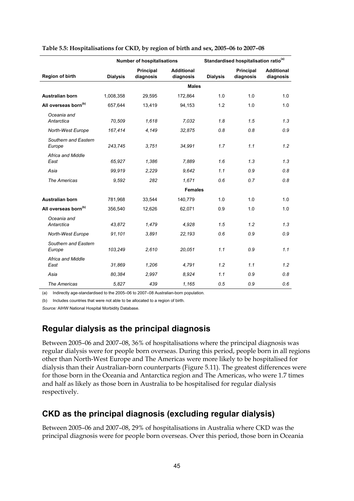|                                  |                 | <b>Number of hospitalisations</b> |                                |                 | Standardised hospitalisation ratio <sup>(a)</sup> |                                |
|----------------------------------|-----------------|-----------------------------------|--------------------------------|-----------------|---------------------------------------------------|--------------------------------|
| Region of birth                  | <b>Dialysis</b> | <b>Principal</b><br>diagnosis     | <b>Additional</b><br>diagnosis | <b>Dialysis</b> | <b>Principal</b><br>diagnosis                     | <b>Additional</b><br>diagnosis |
|                                  |                 |                                   | <b>Males</b>                   |                 |                                                   |                                |
| Australian born                  | 1,008,358       | 29,595                            | 172,864                        | 1.0             | 1.0                                               | 1.0                            |
| All overseas born <sup>(b)</sup> | 657,644         | 13,419                            | 94,153                         | 1.2             | 1.0                                               | 1.0                            |
| Oceania and<br>Antarctica        | 70,509          | 1,618                             | 7,032                          | 1.8             | 1.5                                               | 1.3                            |
| North-West Europe                | 167,414         | 4,149                             | 32,875                         | 0.8             | 0.8                                               | 0.9                            |
| Southern and Eastern<br>Europe   | 243,745         | 3,751                             | 34,991                         | 1.7             | 1.1                                               | 1.2                            |
| Africa and Middle<br>East        | 65,927          | 1,386                             | 7,889                          | 1.6             | 1.3                                               | 1.3                            |
| Asia                             | 99,919          | 2,229                             | 9,642                          | 1.1             | 0.9                                               | 0.8                            |
| The Americas                     | 9,592           | 282                               | 1,671                          | 0.6             | 0.7                                               | 0.8                            |
|                                  |                 |                                   | <b>Females</b>                 |                 |                                                   |                                |
| <b>Australian born</b>           | 781,968         | 33,544                            | 140,779                        | 1.0             | 1.0                                               | 1.0                            |
| All overseas born <sup>(b)</sup> | 356,540         | 12,626                            | 62,071                         | 0.9             | 1.0                                               | 1.0                            |
| Oceania and<br>Antarctica        | 43,872          | 1,479                             | 4,928                          | 1.5             | 1.2                                               | 1.3                            |
| North-West Europe                | 91,101          | 3,891                             | 22,193                         | 0.6             | 0.9                                               | 0.9                            |
| Southern and Eastern<br>Europe   | 103.249         | 2,610                             | 20,051                         | 1.1             | 0.9                                               | 1.1                            |
| Africa and Middle<br>East        | 31,869          | 1,206                             | 4,791                          | 1.2             | 1.1                                               | 1.2                            |
| Asia                             | 80.384          | 2.997                             | 8,924                          | 1.1             | 0.9                                               | 0.8                            |
| The Americas                     | 5,827           | 439                               | 1,165                          | 0.5             | 0.9                                               | 0.6                            |

#### **Table 5.5: Hospitalisations for CKD, by region of birth and sex, 2005–06 to 2007–08**

(a) Indirectly age-standardised to the 2005–06 to 2007–08 Australian-born population.

(b) Includes countries that were not able to be allocated to a region of birth.

*Source:* AIHW National Hospital Morbidity Database.

### **Regular dialysis as the principal diagnosis**

Between 2005–06 and 2007–08, 36% of hospitalisations where the principal diagnosis was regular dialysis were for people born overseas. During this period, people born in all regions other than North-West Europe and The Americas were more likely to be hospitalised for dialysis than their Australian-born counterparts (Figure 5.11). The greatest differences were for those born in the Oceania and Antarctica region and The Americas, who were 1.7 times and half as likely as those born in Australia to be hospitalised for regular dialysis respectively.

### **CKD as the principal diagnosis (excluding regular dialysis)**

Between 2005–06 and 2007–08, 29% of hospitalisations in Australia where CKD was the principal diagnosis were for people born overseas. Over this period, those born in Oceania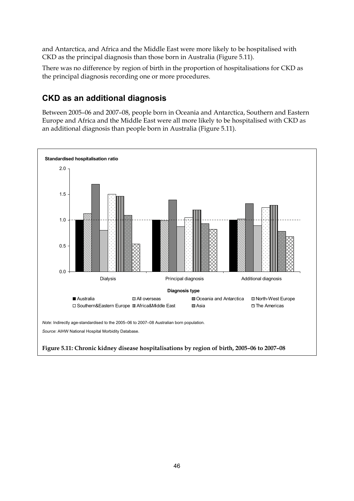and Antarctica, and Africa and the Middle East were more likely to be hospitalised with CKD as the principal diagnosis than those born in Australia (Figure 5.11).

There was no difference by region of birth in the proportion of hospitalisations for CKD as the principal diagnosis recording one or more procedures.

## **CKD as an additional diagnosis**

Between 2005–06 and 2007–08, people born in Oceania and Antarctica, Southern and Eastern Europe and Africa and the Middle East were all more likely to be hospitalised with CKD as an additional diagnosis than people born in Australia (Figure 5.11).

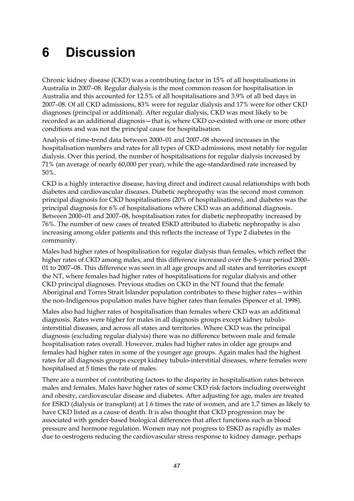# <span id="page-52-0"></span>**6 Discussion**

Chronic kidney disease (CKD) was a contributing factor in 15% of all hospitalisations in Australia in 2007–08. Regular dialysis is the most common reason for hospitalisation in Australia and this accounted for 12.5% of all hospitalisations and 3.9% of all bed days in 2007–08. Of all CKD admissions, 83% were for regular dialysis and 17% were for other CKD diagnoses (principal or additional). After regular dialysis, CKD was most likely to be recorded as an additional diagnosis—that is, where CKD co-existed with one or more other conditions and was not the principal cause for hospitalisation.

Analysis of time-trend data between 2000–01 and 2007–08 showed increases in the hospitalisation numbers and rates for all types of CKD admissions, most notably for regular dialysis. Over this period, the number of hospitalisations for regular dialysis increased by 71% (an average of nearly 60,000 per year), while the age-standardised rate increased by 50%.

CKD is a highly interactive disease, having direct and indirect causal relationships with both diabetes and cardiovascular diseases. Diabetic nephropathy was the second most common principal diagnosis for CKD hospitalisations (20% of hospitalisations), and diabetes was the principal diagnosis for 6% of hospitalisations where CKD was an additional diagnosis. Between 2000–01 and 2007–08, hospitalisation rates for diabetic nephropathy increased by 76%. The number of new cases of treated ESKD attributed to diabetic nephropathy is also increasing among older patients and this reflects the increase of Type 2 diabetes in the community.

Males had higher rates of hospitalisation for regular dialysis than females, which reflect the higher rates of CKD among males, and this difference increased over the 8-year period 2000– 01 to 2007–08. This difference was seen in all age groups and all states and territories except the NT, where females had higher rates of hospitalisations for regular dialysis and other CKD principal diagnoses. Previous studies on CKD in the NT found that the female Aboriginal and Torres Strait Islander population contributes to these higher rates—within the non-Indigenous population males have higher rates than females (Spencer et al. 1998).

Males also had higher rates of hospitalisation than females where CKD was an additional diagnosis. Rates were higher for males in all diagnosis groups except kidney tubulointerstitial diseases, and across all states and territories. Where CKD was the principal diagnosis (excluding regular dialysis) there was no difference between male and female hospitalisation rates overall. However, males had higher rates in older age groups and females had higher rates in some of the younger age groups. Again males had the highest rates for all diagnosis groups except kidney tubulo-interstitial diseases, where females were hospitalised at 5 times the rate of males.

There are a number of contributing factors to the disparity in hospitalisation rates between males and females. Males have higher rates of some CKD risk factors including overweight and obesity, cardiovascular disease and diabetes. After adjusting for age, males are treated for ESKD (dialysis or transplant) at 1.6 times the rate of women, and are 1.7 times as likely to have CKD listed as a cause of death. It is also thought that CKD progression may be associated with gender-based biological differences that affect functions such as blood pressure and hormone regulation. Women may not progress to ESKD as rapidly as males due to oestrogens reducing the cardiovascular stress response to kidney damage, perhaps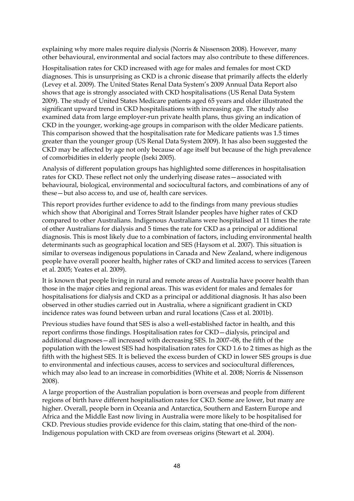explaining why more males require dialysis (Norris & Nissenson 2008). However, many other behavioural, environmental and social factors may also contribute to these differences.

Hospitalisation rates for CKD increased with age for males and females for most CKD diagnoses. This is unsurprising as CKD is a chronic disease that primarily affects the elderly (Levey et al. 2009). The United States Renal Data System's 2009 Annual Data Report also shows that age is strongly associated with CKD hospitalisations (US Renal Data System 2009). The study of United States Medicare patients aged 65 years and older illustrated the significant upward trend in CKD hospitalisations with increasing age. The study also examined data from large employer-run private health plans, thus giving an indication of CKD in the younger, working-age groups in comparison with the older Medicare patients. This comparison showed that the hospitalisation rate for Medicare patients was 1.5 times greater than the younger group (US Renal Data System 2009). It has also been suggested the CKD may be affected by age not only because of age itself but because of the high prevalence of comorbidities in elderly people (Iseki 2005).

Analysis of different population groups has highlighted some differences in hospitalisation rates for CKD. These reflect not only the underlying disease rates—associated with behavioural, biological, environmental and sociocultural factors, and combinations of any of these—but also access to, and use of, health care services.

This report provides further evidence to add to the findings from many previous studies which show that Aboriginal and Torres Strait Islander peoples have higher rates of CKD compared to other Australians. Indigenous Australians were hospitalised at 11 times the rate of other Australians for dialysis and 5 times the rate for CKD as a principal or additional diagnosis. This is most likely due to a combination of factors, including environmental health determinants such as geographical location and SES (Haysom et al. 2007). This situation is similar to overseas indigenous populations in Canada and New Zealand, where indigenous people have overall poorer health, higher rates of CKD and limited access to services (Tareen et al. 2005; Yeates et al. 2009).

It is known that people living in rural and remote areas of Australia have poorer health than those in the major cities and regional areas. This was evident for males and females for hospitalisations for dialysis and CKD as a principal or additional diagnosis. It has also been observed in other studies carried out in Australia, where a significant gradient in CKD incidence rates was found between urban and rural locations (Cass et al. 2001b).

Previous studies have found that SES is also a well-established factor in health, and this report confirms those findings. Hospitalisation rates for CKD—dialysis, principal and additional diagnoses—all increased with decreasing SES. In 2007–08, the fifth of the population with the lowest SES had hospitalisation rates for CKD 1.6 to 2 times as high as the fifth with the highest SES. It is believed the excess burden of CKD in lower SES groups is due to environmental and infectious causes, access to services and sociocultural differences, which may also lead to an increase in comorbidities (White et al. 2008; Norris & Nissenson 2008).

A large proportion of the Australian population is born overseas and people from different regions of birth have different hospitalisation rates for CKD. Some are lower, but many are higher. Overall, people born in Oceania and Antarctica, Southern and Eastern Europe and Africa and the Middle East now living in Australia were more likely to be hospitalised for CKD. Previous studies provide evidence for this claim, stating that one-third of the non-Indigenous population with CKD are from overseas origins (Stewart et al. 2004).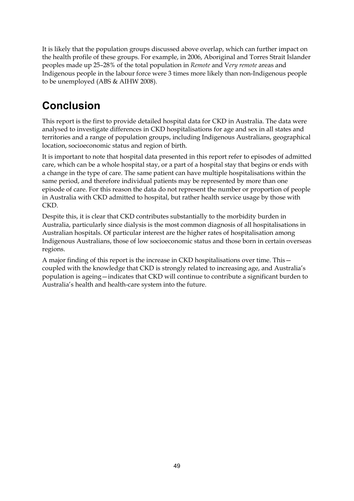It is likely that the population groups discussed above overlap, which can further impact on the health profile of these groups. For example, in 2006, Aboriginal and Torres Strait Islander peoples made up 25–28% of the total population in *Remote* and V*ery remote* areas and Indigenous people in the labour force were 3 times more likely than non-Indigenous people to be unemployed (ABS & AIHW 2008).

## <span id="page-54-0"></span>**Conclusion**

This report is the first to provide detailed hospital data for CKD in Australia. The data were analysed to investigate differences in CKD hospitalisations for age and sex in all states and territories and a range of population groups, including Indigenous Australians, geographical location, socioeconomic status and region of birth.

It is important to note that hospital data presented in this report refer to episodes of admitted care, which can be a whole hospital stay, or a part of a hospital stay that begins or ends with a change in the type of care. The same patient can have multiple hospitalisations within the same period, and therefore individual patients may be represented by more than one episode of care. For this reason the data do not represent the number or proportion of people in Australia with CKD admitted to hospital, but rather health service usage by those with CKD.

Despite this, it is clear that CKD contributes substantially to the morbidity burden in Australia, particularly since dialysis is the most common diagnosis of all hospitalisations in Australian hospitals. Of particular interest are the higher rates of hospitalisation among Indigenous Australians, those of low socioeconomic status and those born in certain overseas regions.

A major finding of this report is the increase in CKD hospitalisations over time. This coupled with the knowledge that CKD is strongly related to increasing age, and Australia's population is ageing—indicates that CKD will continue to contribute a significant burden to Australia's health and health-care system into the future.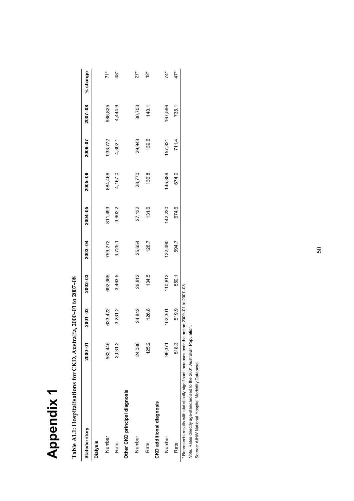| Ž      |
|--------|
| O      |
| 5<br>Φ |
| Ω<br>C |
| É      |

| control<br>hanno ch | $\frac{1}{2}$<br>I |
|---------------------|--------------------|
|                     |                    |
| ーーー<br>i            | Í                  |
|                     | ı                  |
| ٦<br>.<br>E         | $\frac{1}{1}$      |

<span id="page-55-0"></span>

| <b>State/territory</b>                                                 | 2000-01 | 2001-02                    | 2002-03 | 2003-04 | 2004-05 | 2005-06 | 2006-07 | 2007-08 | % change             |
|------------------------------------------------------------------------|---------|----------------------------|---------|---------|---------|---------|---------|---------|----------------------|
| <b>Dialysis</b>                                                        |         |                            |         |         |         |         |         |         |                      |
| Number                                                                 | 582,445 | 633,422                    | 692,365 | 759,272 | 811,493 | 884,466 | 933,772 | 986,825 | $\tilde{7}$          |
| Rate                                                                   | 3,031.2 | 3,231.2                    | 3,463.5 | 3,725.1 | 3,902.2 | 4,167.0 | 4,302.1 | 4,444.9 | $\overset{*}{48}$    |
| Other CKD principal diagnosis                                          |         |                            |         |         |         |         |         |         |                      |
| Number                                                                 | 24,080  | 24,842                     | 26,812  | 25,654  | 27,132  | 28,770  | 29,943  | 30,703  | $\tilde{z}^*$        |
| Rate                                                                   | 125.2   | 126.8                      | 134.5   | 126.7   | 131.6   | 136.8   | 139.6   | 140.1   | $\stackrel{*}{\sim}$ |
| CKD additional diagnosis                                               |         |                            |         |         |         |         |         |         |                      |
| Number                                                                 | 99,371  | 102,301                    | 110,812 | 122,490 | 42,220  | 145,889 | 157,821 | 167,596 | $74*$                |
| Rate                                                                   | 518.3   | 519.9                      | 550.1   | 594.7   | 674.6   | 674.9   | 711.4   | 735.1   | 47*                  |
| * Represents results with statistically significant increases over the |         | period 2000-01 to 2007-08. |         |         |         |         |         |         |                      |

Note: Rates directly age-standardised to the 2001 Australian Population.<br>Source: AIHW National Hospital Morbidity Database. *Note:* Rates directly age-standardised to the 2001 Australian Population.

*Source:* AIHW National Hospital Morbidity Database.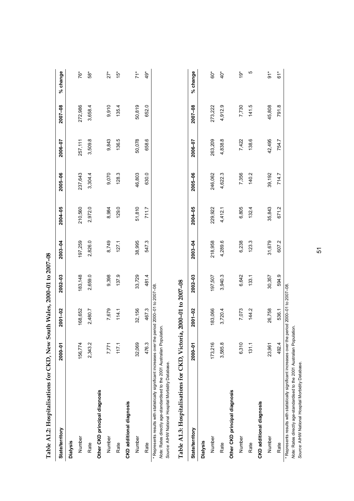| Table A1.2: Hospitalisations for CKD, New South Wales, 2000-01 to 2007-08                                                                                                                                                           |         |                    |             |         |         |         |         |         |                   |
|-------------------------------------------------------------------------------------------------------------------------------------------------------------------------------------------------------------------------------------|---------|--------------------|-------------|---------|---------|---------|---------|---------|-------------------|
| <b>State/territory</b>                                                                                                                                                                                                              | 2000-01 | 2001-02            | 2002-03     | 2003-04 | 2004-05 | 2005-06 | 2006-07 | 2007-08 | % change          |
| <b>Dialysis</b>                                                                                                                                                                                                                     |         |                    |             |         |         |         |         |         |                   |
| Number                                                                                                                                                                                                                              | 156,774 | 168,652            | 183,148     | 197,259 | 210,560 | 237,643 | 257,111 | 272,986 | 76*               |
| Rate                                                                                                                                                                                                                                | 2,343.2 | 2,480.7            | 2,659.0     | 2,826.0 | 2,972.0 | 3,304.4 | 3,509.8 | 3,658.4 | $58*$             |
| Other CKD principal diagnosis                                                                                                                                                                                                       |         |                    |             |         |         |         |         |         |                   |
| Number                                                                                                                                                                                                                              | 7,771   | 7,679              | 9,398       | 8,749   | 8,984   | 9,070   | 9,843   | 9,910   | $27*$             |
| Rate                                                                                                                                                                                                                                | 117.1   | 114.1              | 137.9       | 127.1   | 129.0   | 128.3   | 136.5   | 135.4   | $\ddot{5}^*$      |
| CKD additional diagnosis                                                                                                                                                                                                            |         |                    |             |         |         |         |         |         |                   |
| Number                                                                                                                                                                                                                              | 32,069  | 32,156             | 33,729      | 38,995  | 51,810  | 46,803  | 50,078  | 50,819  | $\overline{71}^*$ |
| Rate                                                                                                                                                                                                                                | 476.3   | 467.3              | 481.4       | 547.3   | 711.7   | 630.0   | 658.6   | 652.0   | $49*$             |
| * Represents results with statistically significant increases over the period 2000-01 to 2007-08.<br>Note: Rates directly age-standardised to the 2001 Australian Population.<br>Source: AIHW National Hospital Morbidity Database. |         |                    |             |         |         |         |         |         |                   |
| Table A1.3: Hospitalisations for CKD, Victoria,                                                                                                                                                                                     |         | 2000-01 to 2007-08 |             |         |         |         |         |         |                   |
| <b>State/territory</b>                                                                                                                                                                                                              | 2000-01 | $2001 - 02$        | $2002 - 03$ | 2003-04 | 2004-05 | 2005-06 | 2006-07 | 2007-08 | % change          |
| <b>Dialysis</b>                                                                                                                                                                                                                     |         |                    |             |         |         |         |         |         |                   |
| Number                                                                                                                                                                                                                              | 173,216 | 183,066            | 197,507     | 218,958 | 229,922 | 246,062 | 263,209 | 273,222 | ô0*               |
| Rate                                                                                                                                                                                                                                | 3,585.8 | 3,720.4            | 3,940.3     | 4,289.6 | 4,412.1 | 4,622.3 | 4,838.8 | 4,912.9 | $\ddot{Q}^*$      |
| Other CKD principal diagnosis                                                                                                                                                                                                       |         |                    |             |         |         |         |         |         |                   |
| Number                                                                                                                                                                                                                              | 6,310   | 7,073              | 6,642       | 6,238   | 6,805   | 7,356   | 7,422   | 7,730   | $\ddot{9}^*$      |
| Rate                                                                                                                                                                                                                                | 131.1   | 144.2              | 133.1       | 123.3   | 132.4   | 140.2   | 138.6   | 141.5   | 5                 |

\* Represents results with statistically significant increases over the period 2000–01 to 2007–08. \* Represents results with statistically significant increases over the period 2000-01 to 2007-08.

158 42.495 42.495 42.495 42.679 31,943 35,843 35,843 35,943 35,943 35,943 35,943 39,192 142.495 45,808 Rate 492.4 536.1 594.9 594.9 595.1 671.2 671.2 714.7 7154.7 791.8 61\*

26,758 536.1

594.9 30,357

492.4 23,961

31,679 607.2

 $\overline{91}^*$  $61*$ 

45,808 791.8

42,495 754.7

39,192 714.7

35,843 671.2

**CKD additional diagnosis** 

Number Rate

**CKD** additional diagnosis

Note: Rates directly age-standardised to the 2001 Australian Population.<br>Source: AIHW National Hospital Morbidity Database. *Note:* Rates directly age-standardised to the 2001 Australian Population. *Source:* AIHW National Hospital Morbidity Database.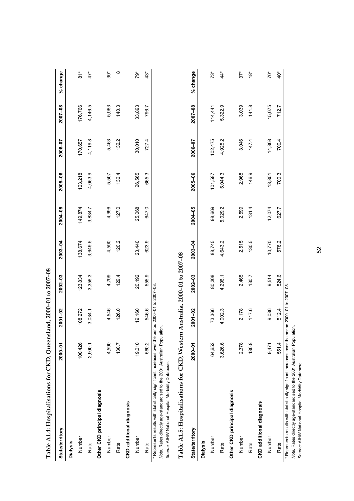| Table A1.4: Hospitalisations for CKD, Queensland, 2000-01 to 2007-08                                                                                                                                                                |         |         |                               |         |         |         |         |         |               |
|-------------------------------------------------------------------------------------------------------------------------------------------------------------------------------------------------------------------------------------|---------|---------|-------------------------------|---------|---------|---------|---------|---------|---------------|
| <b>State/territory</b>                                                                                                                                                                                                              | 2000-01 | 2001-02 | $2002 - 03$                   | 2003-04 | 2004-05 | 2005-06 | 2006-07 | 2007-08 | % change      |
| <b>Dialysis</b>                                                                                                                                                                                                                     |         |         |                               |         |         |         |         |         |               |
| Number                                                                                                                                                                                                                              | 100,426 | 108,272 | 123,834                       | 138,674 | 149,874 | 163,218 | 170,657 | 176,766 | $\frac{1}{8}$ |
| Rate                                                                                                                                                                                                                                | 2,900.1 | 3,034.1 | 3,356.3                       | 3,649.5 | 3,834.7 | 4,053.9 | 4,119.8 | 4,146.5 | $47*$         |
| Other CKD principal diagnosis                                                                                                                                                                                                       |         |         |                               |         |         |         |         |         |               |
| Number                                                                                                                                                                                                                              | 4,590   | 4,546   | 4,799                         | 4,590   | 4,996   | 5,507   | 5,463   | 5,963   | \$O           |
| Rate                                                                                                                                                                                                                                | 130.7   | 126.0   | 129.4                         | 120.2   | 127.0   | 136.4   | 132.2   | 140.3   | $\infty$      |
| <b>CKD</b> additional diagnosis                                                                                                                                                                                                     |         |         |                               |         |         |         |         |         |               |
| Number                                                                                                                                                                                                                              | 19,010  | 19,160  | 20,192                        | 23,440  | 25,068  | 26,565  | 30,010  | 33,893  | $79*$         |
| Rate                                                                                                                                                                                                                                | 560.2   | 546.6   | 555.9                         | 623.9   | 647.0   | 665.3   | 727.4   | 796.7   | $43*$         |
| * Represents results with statistically significant increases over the period 2000-01 to 2007-08.<br>Note: Rates directly age-standardised to the 2001 Australian Population.<br>Source: AIHW National Hospital Morbidity Database. |         |         |                               |         |         |         |         |         |               |
| Table A1.5: Hospitalisations for CKD, Western                                                                                                                                                                                       |         |         | Australia, 2000-01 to 2007-08 |         |         |         |         |         |               |
| <b>State/territory</b>                                                                                                                                                                                                              | 2000-01 | 2001-02 | 2002-03                       | 2003-04 | 2004-05 | 2005-06 | 2006-07 | 2007-08 | % change      |
| <b>Dialysis</b>                                                                                                                                                                                                                     |         |         |                               |         |         |         |         |         |               |
| Number                                                                                                                                                                                                                              | 64,652  | 73,366  | 80,308                        | 88,745  | 98,669  | 101,587 | 102,475 | 114,441 | $73*$         |
| Rate                                                                                                                                                                                                                                | 3,626.6 | 4,002.3 | 4,296.1                       | 4,643.2 | 5,029.2 | 5,044.3 | 4,925.2 | 5,322.9 | $44*$         |
| Other CKD principal diagnosis                                                                                                                                                                                                       |         |         |                               |         |         |         |         |         |               |

\* Represents results with statistically significant increases over the period 2000–01 to 2007–08. \* Represents results with statistically significant increases over the period 2000-01 to 2007-08.

Number

Rate

**CKD additional diagnosis** 

Number

Rate

**CKD** additional diagnosis

Number 2,378 2,378 2,465 2,465 2,599 2,599 2,508 3,046 3,046 3,039 3,039 Rate 141.8 130.8 17.6 130.5 130.5 130.5 130.5 130.8 146.9 147.4 147.4 147.4 147.4

2,465

2,178 117.6

2,378 130.8

130.7

2,515 130.5 07.01 9,075 9,076 9,076 9,076 9,076 9,070 12,074 13,851 14,470 12,075 13,851 14,5176 15,076 15,076 1 Rate 551.4 512.4 524.6 578.2 627.7 700.3 700.4 712.7 40\*

9,514 524.6

512.4 9,036

551.4

9,471

10,770 578.2

 $70*$  $40*$ 

15,075 712.7

14,308 700.4

13,851 700.3

12,074

627.7

 $37*$  $\overset{*}{\mathbf{e}}$ 

3,039  $141.8$ 

3,046 147.4

2,968 146.9

2,599

131.4

Note: Rates directly age-standardised to the 2001 Australian Population. *Note:* Rates directly age-standardised to the 2001 Australian Population.

Source: AIHW National Hospital Morbidity Database. *Source:* AIHW National Hospital Morbidity Database.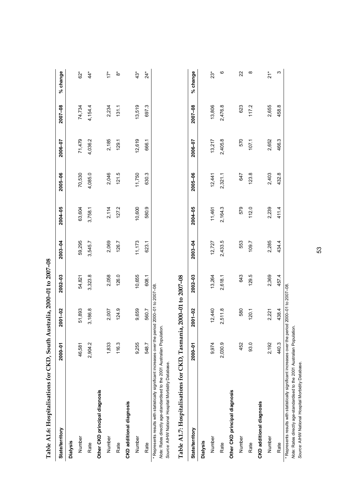| Table A1.6: Hospitalisations for CKD, South Australia, 2000-01 to 2007-08                                                                                                                                                            |         |                        |         |         |         |         |         |         |          |
|--------------------------------------------------------------------------------------------------------------------------------------------------------------------------------------------------------------------------------------|---------|------------------------|---------|---------|---------|---------|---------|---------|----------|
| <b>State/territory</b>                                                                                                                                                                                                               | 2000-01 | 2001-02                | 2002-03 | 2003-04 | 2004-05 | 2005-06 | 2006-07 | 2007-08 | % change |
| <b>Dialysis</b>                                                                                                                                                                                                                      |         |                        |         |         |         |         |         |         |          |
| Number                                                                                                                                                                                                                               | 46,581  | 51,893                 | 54,821  | 59,295  | 63,604  | 70,530  | 71,479  | 74,734  | $62*$    |
| Rate                                                                                                                                                                                                                                 | 2,904.2 | 3,186.8                | 3,323.8 | 3,545.7 | 3,758.1 | 4,085.0 | 4,036.2 | 4,154.4 | $44^*$   |
| Other CKD principal diagnosis                                                                                                                                                                                                        |         |                        |         |         |         |         |         |         |          |
| Number                                                                                                                                                                                                                               | 1,833   | 2,007                  | 2,058   | 2,069   | 2,114   | 2,046   | 2,185   | 2,234   | $17*$    |
| Rate                                                                                                                                                                                                                                 | 116.3   | 124.9                  | 126.0   | 126.7   | 127.2   | 121.5   | 129.1   | 131.1   | စံ       |
| <b>CKD</b> additional diagnosis                                                                                                                                                                                                      |         |                        |         |         |         |         |         |         |          |
| Number                                                                                                                                                                                                                               | 9,255   | 9,659                  | 10,655  | 11,173  | 10,600  | 11,750  | 12,619  | 13,519  | $43*$    |
| Rate                                                                                                                                                                                                                                 | 548.7   | 560.7                  | 608.1   | 623.1   | 580.9   | 630.3   | 666.1   | 697.3   | $24*$    |
| * Represents results with statistically significant increases over the period 20000-01 to 2007-08.<br>Note: Rates directly age-standardised to the 2001 Australian Population.<br>Source: AIHW National Hospital Morbidity Database. |         |                        |         |         |         |         |         |         |          |
| Table A1.7: Hospitalisations for CKD, Tasmani                                                                                                                                                                                        |         | ia, 2000-01 to 2007-08 |         |         |         |         |         |         |          |
| <b>State/territory</b>                                                                                                                                                                                                               | 2000-01 | 2001-02                | 2002-03 | 2003-04 | 2004-05 | 2005-06 | 2006-07 | 2007-08 | % change |
| <b>Dialysis</b>                                                                                                                                                                                                                      |         |                        |         |         |         |         |         |         |          |
| Number                                                                                                                                                                                                                               | 9,974   | 12,440                 | 13,264  | 12,727  | 11,461  | 12,441  | 13,217  | 13,806  | $23*$    |
| Rate                                                                                                                                                                                                                                 | 2,030.9 | 2,511.8                | 2,618.1 | 2,433.5 | 2,164.3 | 2,321.1 | 2,405.8 | 2,476.8 | ဖ        |
| Other CKD principal diagnosis                                                                                                                                                                                                        |         |                        |         |         |         |         |         |         |          |
| Number                                                                                                                                                                                                                               | 452     | 580                    | 643     | 553     | 579     | 647     | 570     | 623     | 22       |
| Rate                                                                                                                                                                                                                                 | 93.0    | 120.1                  | 129.5   | 109.7   | 112.0   | 123.8   | 107.1   | 117.2   | ∞        |
| <b>CKD</b> additional diagnosis                                                                                                                                                                                                      |         |                        |         |         |         |         |         |         |          |

\* Represents results with statistically significant increases over the period 2000–01 to 2007–08. \* Represents results with statistically significant increases over the period 2000-01 to 2007-08.

 Number 2,192 2,221 2,369 2,285 2,239 2,403 2,652 2,655 21\* Rate 458.3 438.4 434.4 434.4 434.4 435.4 434.4 434.4 434.4 434.4 434.4 435.8 458.8 458.8

457.4 2,369

438.4 2,221

440.3 2,192

Number Rate

2,285 434.4

 $21$ <sup>\*</sup>  $\mathfrak{S}$ 

2,655 458.8

2,652 466.3

2,403 432.8

411.4 2,239

> Note: Rates directly age-standardised to the 2001 Australian Population.<br>Source: AIHW National Hospital Morbidity Database. *Note:* Rates directly age-standardised to the 2001 Australian Population. *Source:* AIHW National Hospital Morbidity Database.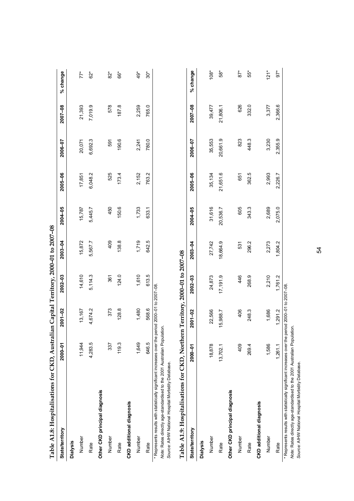| Table A1.8: Hospitalisations for CKD, Australi                                                                                                                                                                                      |          |             |          | ian Capital Territory, 2000-01 to 2007-08 |          |          |          |          |          |
|-------------------------------------------------------------------------------------------------------------------------------------------------------------------------------------------------------------------------------------|----------|-------------|----------|-------------------------------------------|----------|----------|----------|----------|----------|
| <b>State/territory</b>                                                                                                                                                                                                              | 2000-01  | $2001 - 02$ | 2002-03  | 2003-04                                   | 2004-05  | 2005-06  | 2006-07  | 2007-08  | % change |
| <b>Dialysis</b>                                                                                                                                                                                                                     |          |             |          |                                           |          |          |          |          |          |
| Number                                                                                                                                                                                                                              | 11,944   | 13,167      | 14,610   | 15,872                                    | 15,787   | 17,851   | 20,071   | 21,393   | $77*$    |
| Rate                                                                                                                                                                                                                                | 4,283.5  | 4,674.2     | 5,114.3  | 5,567.7                                   | 5,445.7  | 6,048.2  | 6,692.3  | 7,019.9  | $62*$    |
| Other CKD principal diagnosis                                                                                                                                                                                                       |          |             |          |                                           |          |          |          |          |          |
| Number                                                                                                                                                                                                                              | 337      | 373         | 361      | 409                                       | 450      | 525      | 591      | 578      | $82*$    |
| Rate                                                                                                                                                                                                                                | 119.3    | 128.8       | 124.0    | 138.8                                     | 150.6    | 173.4    | 190.6    | 187.8    | 66*      |
| <b>CKD</b> additional diagnosis                                                                                                                                                                                                     |          |             |          |                                           |          |          |          |          |          |
| Number                                                                                                                                                                                                                              | 1,649    | 1,480       | 1,610    | 1,719                                     | 1,733    | 2,152    | 2,241    | 2,259    | $49*$    |
| Rate                                                                                                                                                                                                                                | 646.5    | 568.6       | 613.5    | 642.5                                     | 633.1    | 763.2    | 780.0    | 765.0    | $30*$    |
| * Represents results with statistically significant increases over the period 2000-01 to 2007-08.<br>Note: Rates directly age-standardised to the 2001 Australian Population.<br>Source: AIHW National Hospital Morbidity Database. |          |             |          |                                           |          |          |          |          |          |
| Table A1.9: Hospitalisations for CKD, Northern Territory, 2000–01 to 2007–08                                                                                                                                                        |          |             |          |                                           |          |          |          |          |          |
| <b>State/territory</b>                                                                                                                                                                                                              | 2000-01  | 2001-02     | 2002-03  | 2003-04                                   | 2004-05  | 2005-06  | 2006-07  | 2007-08  | % change |
| <b>Dialysis</b>                                                                                                                                                                                                                     |          |             |          |                                           |          |          |          |          |          |
| Number                                                                                                                                                                                                                              | 18,878   | 22,566      | 24,873   | 27,742                                    | 31,616   | 35,134   | 35,553   | 39,477   | $108*$   |
| Rate                                                                                                                                                                                                                                | 13,702.1 | 15,988.7    | 17,191.9 | 18,664.9                                  | 20,536.7 | 21,651.6 | 20,661.9 | 21,806.1 | $58*$    |
| Other CKD principal diagnosis                                                                                                                                                                                                       |          |             |          |                                           |          |          |          |          |          |
| Number                                                                                                                                                                                                                              | 409      | 406         | 46       | 531                                       | 605      | 651      | 823      | 626      | $87*$    |
| Rate                                                                                                                                                                                                                                | 2694     | 248.3       | 268.9    | 296.2                                     | 343.3    | 362.5    | 448.3    | 332.0    | 55*      |
| <b>CKD</b> additional diagnosis                                                                                                                                                                                                     |          |             |          |                                           |          |          |          |          |          |
| Number                                                                                                                                                                                                                              | 1,586    | 1,686       | 2,210    | 2,273                                     | 2,689    | 2,993    | 3,230    | 3,377    | $121*$   |

Number 1,586 1,586 2,273 2,273 2,273 2,689 2,689 2,693 3,2377 3,377 121\* Rate 1,261.1 1,261.1 1,261.2 1,761.2 1,804.2 2,075.0 2,226.7 2,355.9 2,366.6 97\* 1,686 1,291.2 1,261.1 1,586

Rate

 $97*$ 

2,366.6

2,355.9

2,226.7

2,075.0

1,804.2

1,761.2

\* Represents results with statistically significant increases over the period 2000-01 to 2007-08. \* Represents results with statistically significant increases over the period 2000–01 to 2007–08.

no processo and a matematic and a matematic and a matematic conduction.<br>Note: Rates directly age-standardised to the 2001 Australian Population.<br>Source: AIHW National Hospital Morbidity Database. *Note:* Rates directly age-standardised to the 2001 Australian Population.

*Source:* AIHW National Hospital Morbidity Database.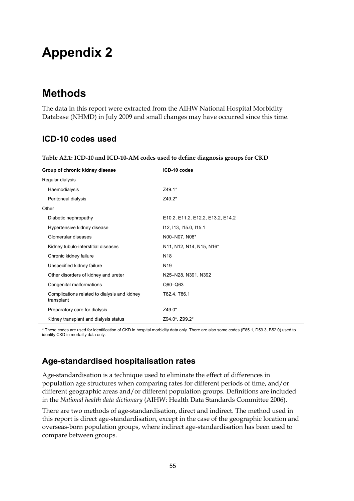# <span id="page-60-0"></span>**Appendix 2**

## <span id="page-60-1"></span>**Methods**

The data in this report were extracted from the AIHW National Hospital Morbidity Database (NHMD) in July 2009 and small changes may have occurred since this time.

## **ICD-10 codes used**

| Group of chronic kidney disease                            | ICD-10 codes                      |
|------------------------------------------------------------|-----------------------------------|
| Regular dialysis                                           |                                   |
| Haemodialysis                                              | Z49.1*                            |
| Peritoneal dialysis                                        | Z49.2*                            |
| Other                                                      |                                   |
| Diabetic nephropathy                                       | E10.2, E11.2, E12.2, E13.2, E14.2 |
| Hypertensive kidney disease                                | 112, 113, 115.0, 115.1            |
| Glomerular diseases                                        | N00-N07, N08*                     |
| Kidney tubulo-interstitial diseases                        | N11, N12, N14, N15, N16*          |
| Chronic kidney failure                                     | N <sub>18</sub>                   |
| Unspecified kidney failure                                 | N <sub>19</sub>                   |
| Other disorders of kidney and ureter                       | N25-N28, N391, N392               |
| Congenital malformations                                   | $Q60 - Q63$                       |
| Complications related to dialysis and kidney<br>transplant | T82.4, T86.1                      |
| Preparatory care for dialysis                              | Z49.0*                            |
| Kidney transplant and dialysis status                      | Z94.0*, Z99.2*                    |

**Table A2.1: ICD-10 and ICD-10-AM codes used to define diagnosis groups for CKD** 

\* These codes are used for identification of CKD in hospital morbidity data only. There are also some codes (E85.1, D59.3, B52.0) used to identify CKD in mortality data only.

## **Age-standardised hospitalisation rates**

Age-standardisation is a technique used to eliminate the effect of differences in population age structures when comparing rates for different periods of time, and/or different geographic areas and/or different population groups. Definitions are included in the *National health data dictionary* (AIHW: Health Data Standards Committee 2006).

There are two methods of age-standardisation, direct and indirect. The method used in this report is direct age-standardisation, except in the case of the geographic location and overseas-born population groups, where indirect age-standardisation has been used to compare between groups.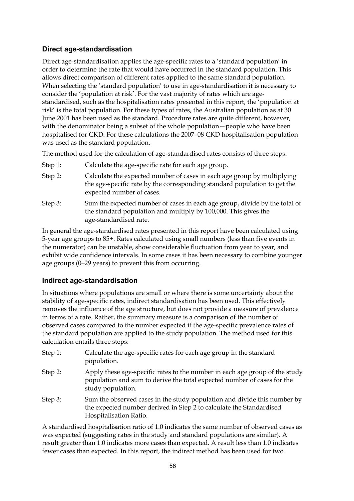### **Direct age-standardisation**

Direct age-standardisation applies the age-specific rates to a 'standard population' in order to determine the rate that would have occurred in the standard population. This allows direct comparison of different rates applied to the same standard population. When selecting the 'standard population' to use in age-standardisation it is necessary to consider the 'population at risk'. For the vast majority of rates which are agestandardised, such as the hospitalisation rates presented in this report, the 'population at risk' is the total population. For these types of rates, the Australian population as at 30 June 2001 has been used as the standard. Procedure rates are quite different, however, with the denominator being a subset of the whole population—people who have been hospitalised for CKD. For these calculations the 2007–08 CKD hospitalisation population was used as the standard population.

The method used for the calculation of age-standardised rates consists of three steps:

- Step 1: Calculate the age-specific rate for each age group.
- Step 2: Calculate the expected number of cases in each age group by multiplying the age-specific rate by the corresponding standard population to get the expected number of cases.
- Step 3: Sum the expected number of cases in each age group, divide by the total of the standard population and multiply by 100,000. This gives the age-standardised rate.

In general the age-standardised rates presented in this report have been calculated using 5-year age groups to 85+. Rates calculated using small numbers (less than five events in the numerator) can be unstable, show considerable fluctuation from year to year, and exhibit wide confidence intervals. In some cases it has been necessary to combine younger age groups (0–29 years) to prevent this from occurring.

### **Indirect age-standardisation**

In situations where populations are small or where there is some uncertainty about the stability of age-specific rates, indirect standardisation has been used. This effectively removes the influence of the age structure, but does not provide a measure of prevalence in terms of a rate. Rather, the summary measure is a comparison of the number of observed cases compared to the number expected if the age-specific prevalence rates of the standard population are applied to the study population. The method used for this calculation entails three steps:

| Step 1: | Calculate the age-specific rates for each age group in the standard<br>population.                                                                                          |
|---------|-----------------------------------------------------------------------------------------------------------------------------------------------------------------------------|
| Step 2: | Apply these age-specific rates to the number in each age group of the study<br>population and sum to derive the total expected number of cases for the<br>study population. |
| Step 3: | Sum the observed cases in the study population and divide this number by<br>the expected number derived in Step 2 to calculate the Standardised<br>Hospitalisation Ratio.   |

A standardised hospitalisation ratio of 1.0 indicates the same number of observed cases as was expected (suggesting rates in the study and standard populations are similar). A result greater than 1.0 indicates more cases than expected. A result less than 1.0 indicates fewer cases than expected. In this report, the indirect method has been used for two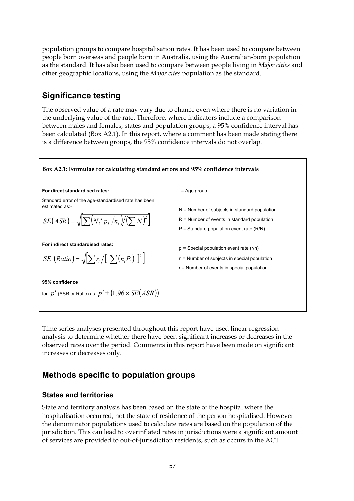population groups to compare hospitalisation rates. It has been used to compare between people born overseas and people born in Australia, using the Australian-born population as the standard. It has also been used to compare between people living in *Major cities* and other geographic locations, using the *Major cites* population as the standard.

## **Significance testing**

The observed value of a rate may vary due to chance even where there is no variation in the underlying value of the rate. Therefore, where indicators include a comparison between males and females, states and population groups, a 95% confidence interval has been calculated (Box A2.1). In this report, where a comment has been made stating there is a difference between groups, the 95% confidence intervals do not overlap.



Time series analyses presented throughout this report have used linear regression analysis to determine whether there have been significant increases or decreases in the observed rates over the period. Comments in this report have been made on significant increases or decreases only.

## **Methods specific to population groups**

### **States and territories**

State and territory analysis has been based on the state of the hospital where the hospitalisation occurred, not the state of residence of the person hospitalised. However the denominator populations used to calculate rates are based on the population of the jurisdiction. This can lead to overinflated rates in jurisdictions were a significant amount of services are provided to out-of-jurisdiction residents, such as occurs in the ACT.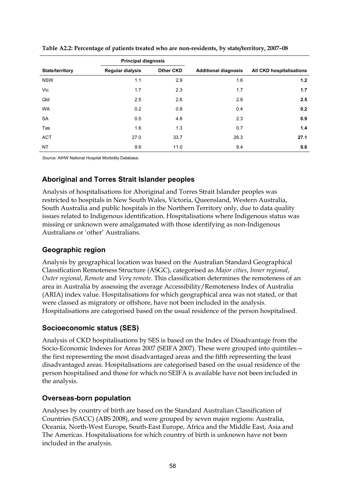|                        | <b>Principal diagnosis</b> |                  |                             |                          |
|------------------------|----------------------------|------------------|-----------------------------|--------------------------|
| <b>State/territory</b> | <b>Regular dialysis</b>    | <b>Other CKD</b> | <b>Additional diagnosis</b> | All CKD hospitalisations |
| <b>NSW</b>             | 1.1                        | 2.9              | 1.6                         | 1.2                      |
| Vic                    | 1.7                        | 2.3              | 1.7                         | 1.7                      |
| Qld                    | 2.5                        | 2.6              | 2.8                         | 2.5                      |
| <b>WA</b>              | 0.2                        | 0.8              | 0.4                         | 0.2                      |
| <b>SA</b>              | 0.5                        | 4.8              | 2.3                         | 0.9                      |
| Tas                    | 1.6                        | 1.3              | 0.7                         | 1.4                      |
| <b>ACT</b>             | 27.0                       | 33.7             | 26.3                        | 27.1                     |
| <b>NT</b>              | 9.6                        | 11.0             | 9.4                         | 9.6                      |

**Table A2.2: Percentage of patients treated who are non-residents, by state/territory, 2007–08** 

*Source:* AIHW National Hospital Morbidity Database.

### **Aboriginal and Torres Strait Islander peoples**

Analysis of hospitalisations for Aboriginal and Torres Strait Islander peoples was restricted to hospitals in New South Wales, Victoria, Queensland, Western Australia, South Australia and public hospitals in the Northern Territory only, due to data quality issues related to Indigenous identification. Hospitalisations where Indigenous status was missing or unknown were amalgamated with those identifying as non-Indigenous Australians or 'other' Australians.

### **Geographic region**

Analysis by geographical location was based on the Australian Standard Geographical Classification Remoteness Structure (ASGC), categorised as *Major cities*, *Inner regional*, *Outer regional*, *Remote* and *Very remote*. This classification determines the remoteness of an area in Australia by assessing the average Accessibility/Remoteness Index of Australia (ARIA) index value. Hospitalisations for which geographical area was not stated, or that were classed as migratory or offshore, have not been included in the analysis. Hospitalisations are categorised based on the usual residence of the person hospitalised.

### **Socioeconomic status (SES)**

Analysis of CKD hospitalisations by SES is based on the Index of Disadvantage from the Socio-Economic Indexes for Areas 2007 (SEIFA 2007). These were grouped into quintiles the first representing the most disadvantaged areas and the fifth representing the least disadvantaged areas. Hospitalisations are categorised based on the usual residence of the person hospitalised and those for which no SEIFA is available have not been included in the analysis.

### **Overseas-born population**

Analyses by country of birth are based on the Standard Australian Classification of Countries (SACC) (ABS 2008), and were grouped by seven major regions: Australia, Oceania, North-West Europe, South-East Europe, Africa and the Middle East, Asia and The Americas. Hospitalisations for which country of birth is unknown have not been included in the analysis.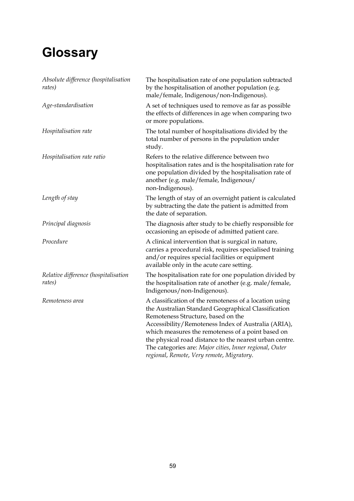# <span id="page-64-0"></span>**Glossary**

| Absolute difference (hospitalisation<br>rates) | The hospitalisation rate of one population subtracted<br>by the hospitalisation of another population (e.g.<br>male/female, Indigenous/non-Indigenous).                                                                                                                                                                                                                                                                            |
|------------------------------------------------|------------------------------------------------------------------------------------------------------------------------------------------------------------------------------------------------------------------------------------------------------------------------------------------------------------------------------------------------------------------------------------------------------------------------------------|
| Age-standardisation                            | A set of techniques used to remove as far as possible<br>the effects of differences in age when comparing two<br>or more populations.                                                                                                                                                                                                                                                                                              |
| Hospitalisation rate                           | The total number of hospitalisations divided by the<br>total number of persons in the population under<br>study.                                                                                                                                                                                                                                                                                                                   |
| Hospitalisation rate ratio                     | Refers to the relative difference between two<br>hospitalisation rates and is the hospitalisation rate for<br>one population divided by the hospitalisation rate of<br>another (e.g. male/female, Indigenous/<br>non-Indigenous).                                                                                                                                                                                                  |
| Length of stay                                 | The length of stay of an overnight patient is calculated<br>by subtracting the date the patient is admitted from<br>the date of separation.                                                                                                                                                                                                                                                                                        |
| Principal diagnosis                            | The diagnosis after study to be chiefly responsible for<br>occasioning an episode of admitted patient care.                                                                                                                                                                                                                                                                                                                        |
| Procedure                                      | A clinical intervention that is surgical in nature,<br>carries a procedural risk, requires specialised training<br>and/or requires special facilities or equipment<br>available only in the acute care setting.                                                                                                                                                                                                                    |
| Relative difference (hospitalisation<br>rates) | The hospitalisation rate for one population divided by<br>the hospitalisation rate of another (e.g. male/female,<br>Indigenous/non-Indigenous).                                                                                                                                                                                                                                                                                    |
| Remoteness area                                | A classification of the remoteness of a location using<br>the Australian Standard Geographical Classification<br>Remoteness Structure, based on the<br>Accessibility/Remoteness Index of Australia (ARIA),<br>which measures the remoteness of a point based on<br>the physical road distance to the nearest urban centre.<br>The categories are: Major cities, Inner regional, Outer<br>regional, Remote, Very remote, Migratory. |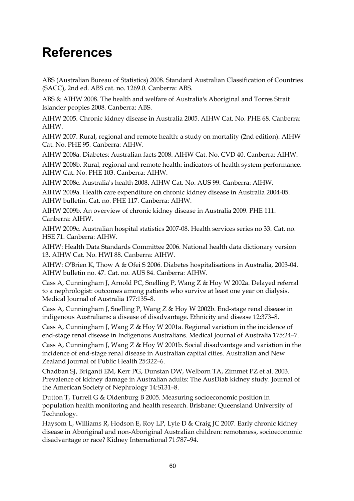# <span id="page-65-0"></span>**References**

ABS (Australian Bureau of Statistics) 2008. Standard Australian Classification of Countries (SACC), 2nd ed. ABS cat. no. 1269.0. Canberra: ABS.

ABS & AIHW 2008. The health and welfare of Australia's Aboriginal and Torres Strait Islander peoples 2008. Canberra: ABS.

AIHW 2005. Chronic kidney disease in Australia 2005. AIHW Cat. No. PHE 68. Canberra: AIHW.

AIHW 2007. Rural, regional and remote health: a study on mortality (2nd edition). AIHW Cat. No. PHE 95. Canberra: AIHW.

AIHW 2008a. Diabetes: Australian facts 2008. AIHW Cat. No. CVD 40. Canberra: AIHW.

AIHW 2008b. Rural, regional and remote health: indicators of health system performance. AIHW Cat. No. PHE 103. Canberra: AIHW.

AIHW 2008c. Australia's health 2008. AIHW Cat. No. AUS 99. Canberra: AIHW.

AIHW 2009a. Health care expenditure on chronic kidney disease in Australia 2004-05. AIHW bulletin. Cat. no. PHE 117. Canberra: AIHW.

AIHW 2009b. An overview of chronic kidney disease in Australia 2009. PHE 111. Canberra: AIHW.

AIHW 2009c. Australian hospital statistics 2007-08. Health services series no 33. Cat. no. HSE 71. Canberra: AIHW.

AIHW: Health Data Standards Committee 2006. National health data dictionary version 13. AIHW Cat. No. HWI 88. Canberra: AIHW.

AIHW: O'Brien K, Thow A & Ofei S 2006. Diabetes hospitalisations in Australia, 2003-04. AIHW bulletin no. 47. Cat. no. AUS 84. Canberra: AIHW.

Cass A, Cunningham J, Arnold PC, Snelling P, Wang Z & Hoy W 2002a. Delayed referral to a nephrologist: outcomes among patients who survive at least one year on dialysis. Medical Journal of Australia 177:135–8.

Cass A, Cunningham J, Snelling P, Wang Z & Hoy W 2002b. End-stage renal disease in indigenous Australians: a disease of disadvantage. Ethnicity and disease 12:373–8.

Cass A, Cunningham J, Wang Z & Hoy W 2001a. Regional variation in the incidence of end-stage renal disease in Indigenous Australians. Medical Journal of Australia 175:24–7.

Cass A, Cunningham J, Wang Z & Hoy W 2001b. Social disadvantage and variation in the incidence of end-stage renal disease in Australian capital cities. Australian and New Zealand Journal of Public Health 25:322–6.

Chadban SJ, Briganti EM, Kerr PG, Dunstan DW, Welborn TA, Zimmet PZ et al. 2003. Prevalence of kidney damage in Australian adults: The AusDiab kidney study. Journal of the American Society of Nephrology 14:S131–8.

Dutton T, Turrell G & Oldenburg B 2005. Measuring socioeconomic position in population health monitoring and health research. Brisbane: Queensland University of Technology.

Haysom L, Williams R, Hodson E, Roy LP, Lyle D & Craig JC 2007. Early chronic kidney disease in Aboriginal and non-Aboriginal Australian children: remoteness, socioeconomic disadvantage or race? Kidney International 71:787–94.